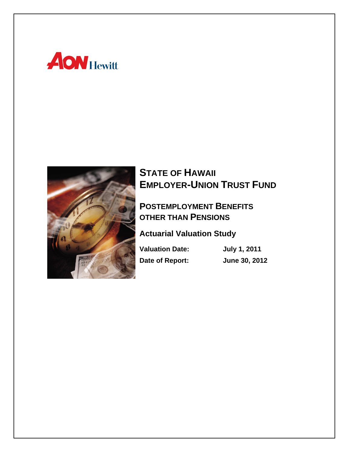



# **STATE OF HAWAII EMPLOYER-UNION TRUST FUND**

### **POSTEMPLOYMENT BENEFITS OTHER THAN PENSIONS**

**Actuarial Valuation Study** 

**Valuation Date: July 1, 2011 Date of Report: June 30, 2012**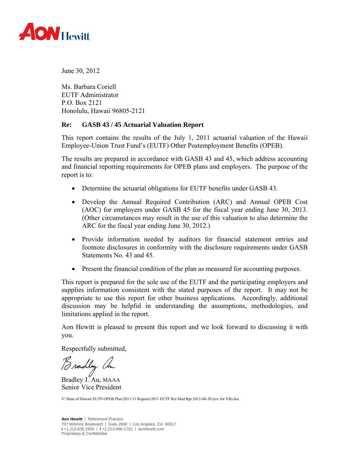

June 30, 2012

Ms. Barbara Coriell EUTF Administrator P.O. Box 2121 Honolulu, Hawaii 96805-2121

#### **Re: GASB 43 / 45 Actuarial Valuation Report**

This report contains the results of the July 1, 2011 actuarial valuation of the Hawaii Employee-Union Trust Fund's (EUTF) Other Postemployment Benefits (OPEB).

The results are prepared in accordance with GASB 43 and 45, which address accounting and financial reporting requirements for OPEB plans and employers. The purpose of the report is to:

- Determine the actuarial obligations for EUTF benefits under GASB 43.
- Develop the Annual Required Contribution (ARC) and Annual OPEB Cost (AOC) for employers under GASB 45 for the fiscal year ending June 30, 2013. (Other circumstances may result in the use of this valuation to also determine the ARC for the fiscal year ending June 30, 2012.)
- Provide information needed by auditors for financial statement entries and footnote disclosures in conformity with the disclosure requirements under GASB Statements No. 43 and 45.
- Present the financial condition of the plan as measured for accounting purposes.

This report is prepared for the sole use of the EUTF and the participating employers and supplies information consistent with the stated purposes of the report. It may not be appropriate to use this report for other business applications. Accordingly, additional discussion may be helpful in understanding the assumptions, methodologies, and limitations applied in the report.

Aon Hewitt is pleased to present this report and we look forward to discussing it with you.

Respectfully submitted,

Bradley Ch

Senior Vice President

V:\State of Hawaii EUTF\OPEB Plan\2011\11 Reports\2011 EUTF Ret Med Rpt 2012-06-30 (rev for VB).doc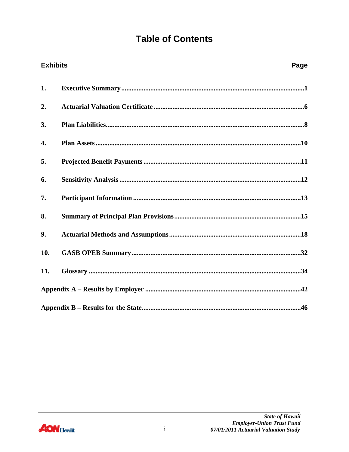## **Table of Contents**

| <b>Exhibits</b> | Page |
|-----------------|------|
| 1.              |      |
| 2.              |      |
| 3.              |      |
| 4.              |      |
| 5.              |      |
| 6.              |      |
| 7.              |      |
| 8.              |      |
| 9.              |      |
| 10.             |      |
| 11.             |      |
|                 |      |
|                 |      |

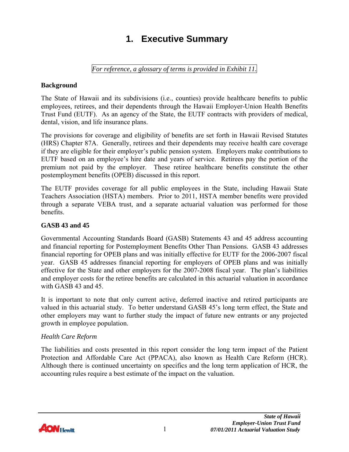# **1. Executive Summary**

*For reference, a glossary of terms is provided in Exhibit 11.* 

#### <span id="page-3-0"></span>**Background**

The State of Hawaii and its subdivisions (i.e., counties) provide healthcare benefits to public employees, retirees, and their dependents through the Hawaii Employer-Union Health Benefits Trust Fund (EUTF). As an agency of the State, the EUTF contracts with providers of medical, dental, vision, and life insurance plans.

The provisions for coverage and eligibility of benefits are set forth in Hawaii Revised Statutes (HRS) Chapter 87A. Generally, retirees and their dependents may receive health care coverage if they are eligible for their employer's public pension system. Employers make contributions to EUTF based on an employee's hire date and years of service. Retirees pay the portion of the premium not paid by the employer. These retiree healthcare benefits constitute the other postemployment benefits (OPEB) discussed in this report.

The EUTF provides coverage for all public employees in the State, including Hawaii State Teachers Association (HSTA) members. Prior to 2011, HSTA member benefits were provided through a separate VEBA trust, and a separate actuarial valuation was performed for those benefits.

#### **GASB 43 and 45**

Governmental Accounting Standards Board (GASB) Statements 43 and 45 address accounting and financial reporting for Postemployment Benefits Other Than Pensions. GASB 43 addresses financial reporting for OPEB plans and was initially effective for EUTF for the 2006-2007 fiscal year. GASB 45 addresses financial reporting for employers of OPEB plans and was initially effective for the State and other employers for the 2007-2008 fiscal year. The plan's liabilities and employer costs for the retiree benefits are calculated in this actuarial valuation in accordance with GASB 43 and 45.

It is important to note that only current active, deferred inactive and retired participants are valued in this actuarial study. To better understand GASB 45's long term effect, the State and other employers may want to further study the impact of future new entrants or any projected growth in employee population.

#### *Health Care Reform*

The liabilities and costs presented in this report consider the long term impact of the Patient Protection and Affordable Care Act (PPACA), also known as Health Care Reform (HCR). Although there is continued uncertainty on specifics and the long term application of HCR, the accounting rules require a best estimate of the impact on the valuation.

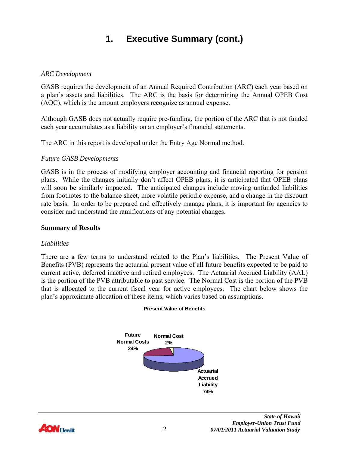#### *ARC Development*

GASB requires the development of an Annual Required Contribution (ARC) each year based on a plan's assets and liabilities. The ARC is the basis for determining the Annual OPEB Cost (AOC), which is the amount employers recognize as annual expense.

Although GASB does not actually require pre-funding, the portion of the ARC that is not funded each year accumulates as a liability on an employer's financial statements.

The ARC in this report is developed under the Entry Age Normal method.

#### *Future GASB Developments*

GASB is in the process of modifying employer accounting and financial reporting for pension plans. While the changes initially don't affect OPEB plans, it is anticipated that OPEB plans will soon be similarly impacted. The anticipated changes include moving unfunded liabilities from footnotes to the balance sheet, more volatile periodic expense, and a change in the discount rate basis. In order to be prepared and effectively manage plans, it is important for agencies to consider and understand the ramifications of any potential changes.

#### **Summary of Results**

#### *Liabilities*

There are a few terms to understand related to the Plan's liabilities. The Present Value of Benefits (PVB) represents the actuarial present value of all future benefits expected to be paid to current active, deferred inactive and retired employees. The Actuarial Accrued Liability (AAL) is the portion of the PVB attributable to past service. The Normal Cost is the portion of the PVB that is allocated to the current fiscal year for active employees. The chart below shows the plan's approximate allocation of these items, which varies based on assumptions.



#### **Present Value of Benefits**

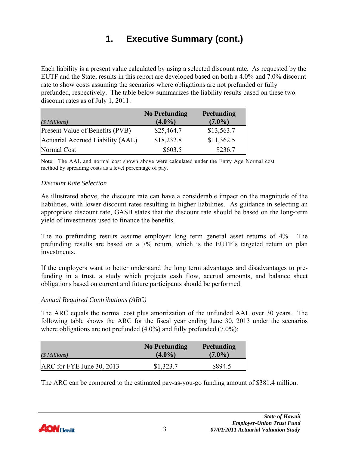Each liability is a present value calculated by using a selected discount rate. As requested by the EUTF and the State, results in this report are developed based on both a 4.0% and 7.0% discount rate to show costs assuming the scenarios where obligations are not prefunded or fully prefunded, respectively. The table below summarizes the liability results based on these two discount rates as of July 1, 2011:

|                                   | <b>No Prefunding</b> | <b>Prefunding</b> |
|-----------------------------------|----------------------|-------------------|
| $($ Millions)$                    | $(4.0\%)$            | $(7.0\%)$         |
| Present Value of Benefits (PVB)   | \$25,464.7           | \$13,563.7        |
| Actuarial Accrued Liability (AAL) | \$18,232.8           | \$11,362.5        |
| Normal Cost                       | \$603.5              | \$236.7           |

Note: The AAL and normal cost shown above were calculated under the Entry Age Normal cost method by spreading costs as a level percentage of pay.

#### *Discount Rate Selection*

As illustrated above, the discount rate can have a considerable impact on the magnitude of the liabilities, with lower discount rates resulting in higher liabilities. As guidance in selecting an appropriate discount rate, GASB states that the discount rate should be based on the long-term yield of investments used to finance the benefits.

The no prefunding results assume employer long term general asset returns of 4%. The prefunding results are based on a 7% return, which is the EUTF's targeted return on plan investments.

If the employers want to better understand the long term advantages and disadvantages to prefunding in a trust, a study which projects cash flow, accrual amounts, and balance sheet obligations based on current and future participants should be performed.

#### *Annual Required Contributions (ARC)*

The ARC equals the normal cost plus amortization of the unfunded AAL over 30 years. The following table shows the ARC for the fiscal year ending June 30, 2013 under the scenarios where obligations are not prefunded  $(4.0\%)$  and fully prefunded  $(7.0\%)$ :

| $(\text{\$Millions})$       | <b>No Prefunding</b><br>$(4.0\%)$ | <b>Prefunding</b><br>$(7.0\%)$ |
|-----------------------------|-----------------------------------|--------------------------------|
| $ARC$ for FYE June 30, 2013 | \$1,323.7                         | \$894.5                        |

The ARC can be compared to the estimated pay-as-you-go funding amount of \$381.4 million.

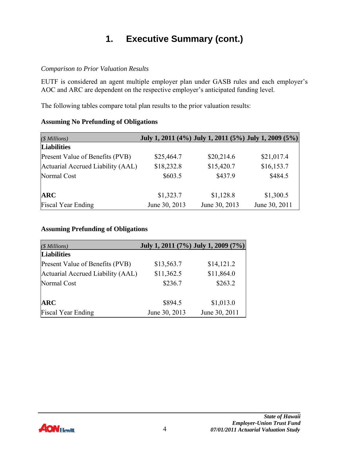#### *Comparison to Prior Valuation Results*

EUTF is considered an agent multiple employer plan under GASB rules and each employer's AOC and ARC are dependent on the respective employer's anticipated funding level.

The following tables compare total plan results to the prior valuation results:

#### **Assuming No Prefunding of Obligations**

| $(S\,Millions)$                   |               |               | July 1, 2011 (4%) July 1, 2011 (5%) July 1, 2009 (5%) |
|-----------------------------------|---------------|---------------|-------------------------------------------------------|
| <b>Liabilities</b>                |               |               |                                                       |
| Present Value of Benefits (PVB)   | \$25,464.7    | \$20,214.6    | \$21,017.4                                            |
| Actuarial Accrued Liability (AAL) | \$18,232.8    | \$15,420.7    | \$16,153.7                                            |
| Normal Cost                       | \$603.5       | \$437.9       | \$484.5                                               |
|                                   |               |               |                                                       |
| <b>ARC</b>                        | \$1,323.7     | \$1,128.8     | \$1,300.5                                             |
| <b>Fiscal Year Ending</b>         | June 30, 2013 | June 30, 2013 | June 30, 2011                                         |

#### **Assuming Prefunding of Obligations**

| (\$ Millions)                     | July 1, 2011 (7%) July 1, 2009 (7%) |               |
|-----------------------------------|-------------------------------------|---------------|
| <b>Liabilities</b>                |                                     |               |
| Present Value of Benefits (PVB)   | \$13,563.7                          | \$14,121.2    |
| Actuarial Accrued Liability (AAL) | \$11,362.5                          | \$11,864.0    |
| Normal Cost                       | \$236.7                             | \$263.2       |
|                                   |                                     |               |
| <b>ARC</b>                        | \$894.5                             | \$1,013.0     |
| <b>Fiscal Year Ending</b>         | June 30, 2013                       | June 30, 2011 |

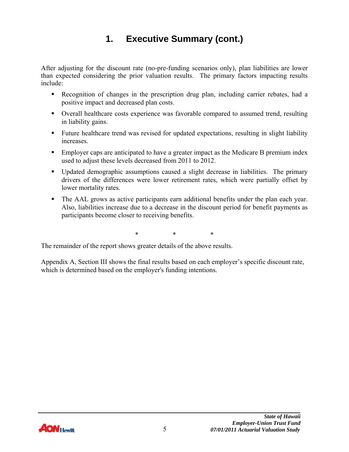After adjusting for the discount rate (no-pre-funding scenarios only), plan liabilities are lower than expected considering the prior valuation results. The primary factors impacting results include:

- Recognition of changes in the prescription drug plan, including carrier rebates, had a positive impact and decreased plan costs.
- Overall healthcare costs experience was favorable compared to assumed trend, resulting in liability gains.
- Future healthcare trend was revised for updated expectations, resulting in slight liability increases.
- **Employer caps are anticipated to have a greater impact as the Medicare B premium index** used to adjust these levels decreased from 2011 to 2012.
- Updated demographic assumptions caused a slight decrease in liabilities. The primary drivers of the differences were lower retirement rates, which were partially offset by lower mortality rates.
- The AAL grows as active participants earn additional benefits under the plan each year. Also, liabilities increase due to a decrease in the discount period for benefit payments as participants become closer to receiving benefits.

\* \* \*

The remainder of the report shows greater details of the above results.

Appendix A, Section III shows the final results based on each employer's specific discount rate, which is determined based on the employer's funding intentions.

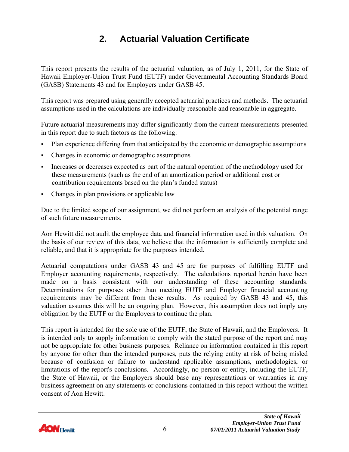# **2. Actuarial Valuation Certificate**

<span id="page-8-0"></span>This report presents the results of the actuarial valuation, as of July 1, 2011, for the State of Hawaii Employer-Union Trust Fund (EUTF) under Governmental Accounting Standards Board (GASB) Statements 43 and for Employers under GASB 45.

This report was prepared using generally accepted actuarial practices and methods. The actuarial assumptions used in the calculations are individually reasonable and reasonable in aggregate.

Future actuarial measurements may differ significantly from the current measurements presented in this report due to such factors as the following:

- Plan experience differing from that anticipated by the economic or demographic assumptions
- Changes in economic or demographic assumptions
- Increases or decreases expected as part of the natural operation of the methodology used for these measurements (such as the end of an amortization period or additional cost or contribution requirements based on the plan's funded status)
- Changes in plan provisions or applicable law

Due to the limited scope of our assignment, we did not perform an analysis of the potential range of such future measurements.

Aon Hewitt did not audit the employee data and financial information used in this valuation. On the basis of our review of this data, we believe that the information is sufficiently complete and reliable, and that it is appropriate for the purposes intended.

Actuarial computations under GASB 43 and 45 are for purposes of fulfilling EUTF and Employer accounting requirements, respectively. The calculations reported herein have been made on a basis consistent with our understanding of these accounting standards. Determinations for purposes other than meeting EUTF and Employer financial accounting requirements may be different from these results. As required by GASB 43 and 45, this valuation assumes this will be an ongoing plan. However, this assumption does not imply any obligation by the EUTF or the Employers to continue the plan.

This report is intended for the sole use of the EUTF, the State of Hawaii, and the Employers. It is intended only to supply information to comply with the stated purpose of the report and may not be appropriate for other business purposes. Reliance on information contained in this report by anyone for other than the intended purposes, puts the relying entity at risk of being misled because of confusion or failure to understand applicable assumptions, methodologies, or limitations of the report's conclusions. Accordingly, no person or entity, including the EUTF, the State of Hawaii, or the Employers should base any representations or warranties in any business agreement on any statements or conclusions contained in this report without the written consent of Aon Hewitt.

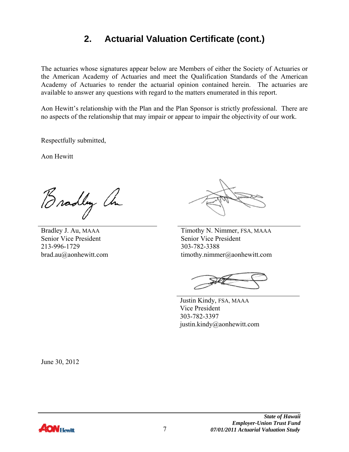### **2. Actuarial Valuation Certificate (cont.)**

The actuaries whose signatures appear below are Members of either the Society of Actuaries or the American Academy of Actuaries and meet the Qualification Standards of the American Academy of Actuaries to render the actuarial opinion contained herein. The actuaries are available to answer any questions with regard to the matters enumerated in this report.

Aon Hewitt's relationship with the Plan and the Plan Sponsor is strictly professional. There are no aspects of the relationship that may impair or appear to impair the objectivity of our work.

Respectfully submitted,

Aon Hewitt

Bradley an

Senior Vice President Senior Vice President 213-996-1729 303-782-3388

Bradley J. Au, MAAA Timothy N. Nimmer, FSA, MAAA brad.au@aonhewitt.com timothy.nimmer@aonhewitt.com

 Justin Kindy, FSA, MAAA Vice President 303-782-3397 justin.kindy@aonhewitt.com

June 30, 2012

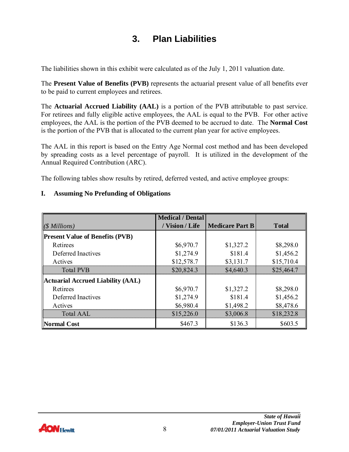### **3. Plan Liabilities**

<span id="page-10-0"></span>The liabilities shown in this exhibit were calculated as of the July 1, 2011 valuation date.

The **Present Value of Benefits (PVB)** represents the actuarial present value of all benefits ever to be paid to current employees and retirees.

The **Actuarial Accrued Liability (AAL)** is a portion of the PVB attributable to past service. For retirees and fully eligible active employees, the AAL is equal to the PVB. For other active employees, the AAL is the portion of the PVB deemed to be accrued to date. The **Normal Cost** is the portion of the PVB that is allocated to the current plan year for active employees.

The AAL in this report is based on the Entry Age Normal cost method and has been developed by spreading costs as a level percentage of payroll. It is utilized in the development of the Annual Required Contribution (ARC).

The following tables show results by retired, deferred vested, and active employee groups:

#### **I. Assuming No Prefunding of Obligations**

|                                          | <b>Medical / Dental</b> |                        |              |
|------------------------------------------|-------------------------|------------------------|--------------|
| $(S$ Millions)                           | / Vision / Life         | <b>Medicare Part B</b> | <b>Total</b> |
| <b>Present Value of Benefits (PVB)</b>   |                         |                        |              |
| Retirees                                 | \$6,970.7               | \$1,327.2              | \$8,298.0    |
| Deferred Inactives                       | \$1,274.9               | \$181.4                | \$1,456.2    |
| Actives                                  | \$12,578.7              | \$3,131.7              | \$15,710.4   |
| <b>Total PVB</b>                         | \$20,824.3              | \$4,640.3              | \$25,464.7   |
| <b>Actuarial Accrued Liability (AAL)</b> |                         |                        |              |
| Retirees                                 | \$6,970.7               | \$1,327.2              | \$8,298.0    |
| Deferred Inactives                       | \$1,274.9               | \$181.4                | \$1,456.2    |
| Actives                                  | \$6,980.4               | \$1,498.2              | \$8,478.6    |
| Total AAL                                | \$15,226.0              | \$3,006.8              | \$18,232.8   |
| <b>Normal Cost</b>                       | \$467.3                 | \$136.3                | \$603.5      |

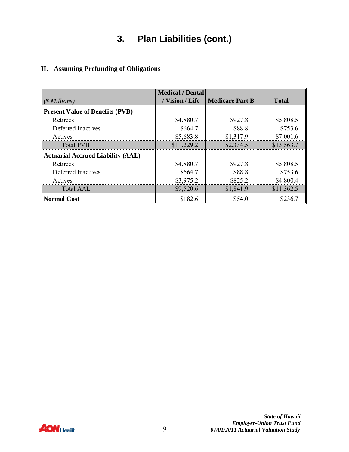# **3. Plan Liabilities (cont.)**

#### **II. Assuming Prefunding of Obligations**

|                                          | <b>Medical / Dental</b> |                        |               |
|------------------------------------------|-------------------------|------------------------|---------------|
| $(\text{\$Millions})$                    | / Vision / Life         | <b>Medicare Part B</b> | <b>T</b> otal |
| <b>Present Value of Benefits (PVB)</b>   |                         |                        |               |
| Retirees                                 | \$4,880.7               | \$927.8                | \$5,808.5     |
| Deferred Inactives                       | \$664.7                 | \$88.8                 | \$753.6       |
| Actives                                  | \$5,683.8               | \$1,317.9              | \$7,001.6     |
| <b>Total PVB</b>                         | \$11,229.2              | \$2,334.5              | \$13,563.7    |
| <b>Actuarial Accrued Liability (AAL)</b> |                         |                        |               |
| Retirees                                 | \$4,880.7               | \$927.8                | \$5,808.5     |
| Deferred Inactives                       | \$664.7                 | \$88.8                 | \$753.6       |
| Actives                                  | \$3,975.2               | \$825.2                | \$4,800.4     |
| <b>Total AAL</b>                         | \$9,520.6               | \$1,841.9              | \$11,362.5    |
| <b>Normal Cost</b>                       | \$182.6                 | \$54.0                 | \$236.7       |

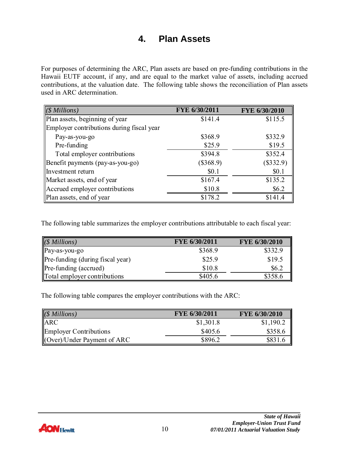### **4. Plan Assets**

<span id="page-12-0"></span>For purposes of determining the ARC, Plan assets are based on pre-funding contributions in the Hawaii EUTF account, if any, and are equal to the market value of assets, including accrued contributions, at the valuation date. The following table shows the reconciliation of Plan assets used in ARC determination.

| $(S\,Millions)$                           | FYE 6/30/2011 | FYE 6/30/2010 |
|-------------------------------------------|---------------|---------------|
| Plan assets, beginning of year            | \$141.4       | \$115.5       |
| Employer contributions during fiscal year |               |               |
| Pay-as-you-go                             | \$368.9       | \$332.9       |
| Pre-funding                               | \$25.9        | \$19.5        |
| Total employer contributions              | \$394.8       | \$352.4       |
| Benefit payments (pay-as-you-go)          | $(\$368.9)$   | $(\$332.9)$   |
| Investment return                         | \$0.1         | \$0.1         |
| Market assets, end of year                | \$167.4       | \$135.2       |
| Accrued employer contributions            | \$10.8        | \$6.2\$       |
| Plan assets, end of year                  | \$178.2       | \$141.4       |

The following table summarizes the employer contributions attributable to each fiscal year:

| $(S\;Millions)$                                      | FYE 6/30/2011 | FYE 6/30/2010 |
|------------------------------------------------------|---------------|---------------|
| Pay-as-you-go                                        | \$368.9       | \$332.9       |
| Pre-funding (during fiscal year)                     | \$25.9        | \$19.5        |
| $\left\Vert \text{Pre-funding (accured)}\right\Vert$ | \$10.8        | \$6.2         |
| Total employer contributions                         | \$405.6       | \$358.6       |

The following table compares the employer contributions with the ARC:

| $(S$ Millions)                        | FYE 6/30/2011 | FYE 6/30/2010 |
|---------------------------------------|---------------|---------------|
| <b>ARC</b>                            | \$1,301.8     | \$1,190.2     |
| <b>Employer Contributions</b>         | \$405.6       | \$358.6       |
| $\langle$ (Over)/Under Payment of ARC | \$896.2       | \$831.6       |

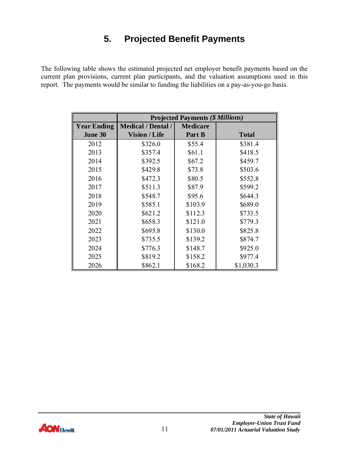# **5. Projected Benefit Payments**

<span id="page-13-0"></span>The following table shows the estimated projected net employer benefit payments based on the current plan provisions, current plan participants, and the valuation assumptions used in this report. The payments would be similar to funding the liabilities on a pay-as-you-go basis.

|                    | <b>Projected Payments (\$ Millions)</b> |                 |              |  |
|--------------------|-----------------------------------------|-----------------|--------------|--|
| <b>Year Ending</b> | <b>Medical / Dental /</b>               | <b>Medicare</b> |              |  |
| June 30            | <b>Vision / Life</b>                    | Part B          | <b>Total</b> |  |
| 2012               | \$326.0                                 | \$55.4          | \$381.4      |  |
| 2013               | \$357.4                                 | \$61.1          | \$418.5      |  |
| 2014               | \$392.5                                 | \$67.2          | \$459.7      |  |
| 2015               | \$429.8                                 | \$73.8          | \$503.6      |  |
| 2016               | \$472.3                                 | \$80.5          | \$552.8      |  |
| 2017               | \$511.3                                 | \$87.9          | \$599.2      |  |
| 2018               | \$548.7                                 | \$95.6          | \$644.3      |  |
| 2019               | \$585.1                                 | \$103.9         | \$689.0      |  |
| 2020               | \$621.2                                 | \$112.3         | \$733.5      |  |
| 2021               | \$658.3                                 | \$121.0         | \$779.3      |  |
| 2022               | \$695.8                                 | \$130.0         | \$825.8      |  |
| 2023               | \$735.5                                 | \$139.2         | \$874.7      |  |
| 2024               | \$776.3                                 | \$148.7         | \$925.0      |  |
| 2025               | \$819.2                                 | \$158.2         | \$977.4      |  |
| 2026               | \$862.1                                 | \$168.2         | \$1,030.3    |  |

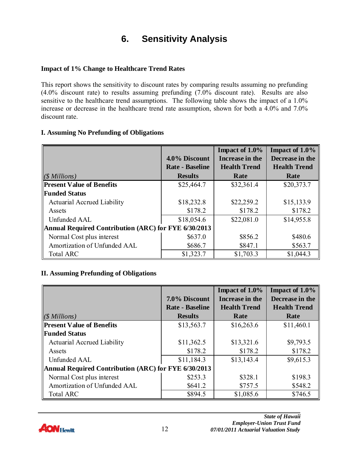# **6. Sensitivity Analysis**

#### <span id="page-14-0"></span>**Impact of 1% Change to Healthcare Trend Rates**

This report shows the sensitivity to discount rates by comparing results assuming no prefunding (4.0% discount rate) to results assuming prefunding (7.0% discount rate). Results are also sensitive to the healthcare trend assumptions. The following table shows the impact of a 1.0% increase or decrease in the healthcare trend rate assumption, shown for both a 4.0% and 7.0% discount rate.

#### **I. Assuming No Prefunding of Obligations**

|                                                      |                        | Impact of 1.0%      | Impact of $1.0\%$   |
|------------------------------------------------------|------------------------|---------------------|---------------------|
|                                                      | 4.0% Discount          | Increase in the     | Decrease in the     |
|                                                      | <b>Rate - Baseline</b> | <b>Health Trend</b> | <b>Health Trend</b> |
| $(\text{\$Millions})$                                | <b>Results</b>         | Rate                | Rate                |
| <b>Present Value of Benefits</b>                     | \$25,464.7             | \$32,361.4          | \$20,373.7          |
| <b>Funded Status</b>                                 |                        |                     |                     |
| Actuarial Accrued Liability                          | \$18,232.8             | \$22,259.2          | \$15,133.9          |
| Assets                                               | \$178.2                | \$178.2             | \$178.2             |
| Unfunded AAL                                         | \$18,054.6             | \$22,081.0          | \$14,955.8          |
| Annual Required Contribution (ARC) for FYE 6/30/2013 |                        |                     |                     |
| Normal Cost plus interest                            | \$637.0                | \$856.2             | \$480.6             |
| Amortization of Unfunded AAL                         | \$686.7                | \$847.1             | \$563.7             |
| <b>Total ARC</b>                                     | \$1,323.7              | \$1,703.3           | \$1,044.3           |

#### **II. Assuming Prefunding of Obligations**

|                                                      |                        | Impact of 1.0%      | Impact of $1.0\%$   |
|------------------------------------------------------|------------------------|---------------------|---------------------|
|                                                      | 7.0% Discount          | Increase in the     | Decrease in the     |
|                                                      | <b>Rate - Baseline</b> | <b>Health Trend</b> | <b>Health Trend</b> |
| $(\text{\$Millions})$                                | <b>Results</b>         | Rate                | Rate                |
| <b>Present Value of Benefits</b>                     | \$13,563.7             | \$16,263.6          | \$11,460.1          |
| <b>Funded Status</b>                                 |                        |                     |                     |
| Actuarial Accrued Liability                          | \$11,362.5             | \$13,321.6          | \$9,793.5           |
| Assets                                               | \$178.2                | \$178.2             | \$178.2             |
| Unfunded AAL                                         | \$11,184.3             | \$13,143.4          | \$9,615.3           |
| Annual Required Contribution (ARC) for FYE 6/30/2013 |                        |                     |                     |
| Normal Cost plus interest                            | \$253.3                | \$328.1             | \$198.3             |
| Amortization of Unfunded AAL                         | \$641.2                | \$757.5             | \$548.2             |
| <b>Total ARC</b>                                     | \$894.5                | \$1,085.6           | \$746.5             |

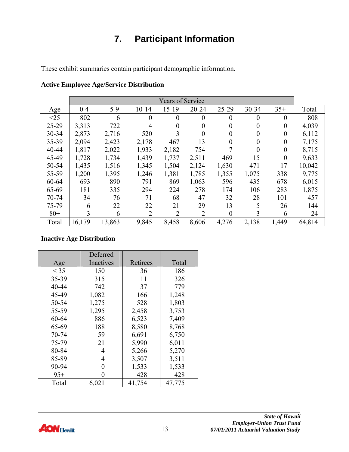# **7. Participant Information**

<span id="page-15-0"></span>These exhibit summaries contain participant demographic information.

|           |                |        |                | <b>Years of Service</b> |           |                  |                |                |        |
|-----------|----------------|--------|----------------|-------------------------|-----------|------------------|----------------|----------------|--------|
| Age       | $0 - 4$        | $5-9$  | $10 - 14$      | $15-19$                 | $20 - 24$ | 25-29            | 30-34          | $35+$          | Total  |
| <25       | 802            | 6      | $\theta$       | $\overline{0}$          | $\theta$  | $\mathbf{0}$     | $\theta$       | $\theta$       | 808    |
| 25-29     | 3,313          | 722    | 4              | $\boldsymbol{0}$        | $\theta$  | $\overline{0}$   | $\overline{0}$ | $\overline{0}$ | 4,039  |
| 30-34     | 2,873          | 2,716  | 520            | 3                       | $\theta$  | $\overline{0}$   | $\overline{0}$ | $\overline{0}$ | 6,112  |
| 35-39     | 2,094          | 2,423  | 2,178          | 467                     | 13        | $\overline{0}$   | $\theta$       | $\theta$       | 7,175  |
| 40-44     | 1,817          | 2,022  | 1,933          | 2,182                   | 754       |                  | $\theta$       | $\theta$       | 8,715  |
| 45-49     | 1,728          | 1,734  | 1,439          | 1,737                   | 2,511     | 469              | 15             | $\theta$       | 9,633  |
| 50-54     | 1,435          | 1,516  | 1,345          | 1,504                   | 2,124     | 1,630            | 471            | 17             | 10,042 |
| 55-59     | 1,200          | 1,395  | 1,246          | 1,381                   | 1,785     | 1,355            | 1,075          | 338            | 9,775  |
| 60-64     | 693            | 890    | 791            | 869                     | 1,063     | 596              | 435            | 678            | 6,015  |
| 65-69     | 181            | 335    | 294            | 224                     | 278       | 174              | 106            | 283            | 1,875  |
| $70 - 74$ | 34             | 76     | 71             | 68                      | 47        | 32               | 28             | 101            | 457    |
| 75-79     | 6              | 22     | 22             | 21                      | 29        | 13               | 5              | 26             | 144    |
| $80+$     | $\overline{3}$ | 6      | $\overline{2}$ | $\overline{2}$          | 2         | $\boldsymbol{0}$ | 3              | 6              | 24     |
| Total     | 16,179         | 13,863 | 9,845          | 8,458                   | 8,606     | 4,276            | 2,138          | 1,449          | 64,814 |

| <b>Active Employee Age/Service Distribution</b> |  |  |
|-------------------------------------------------|--|--|
|-------------------------------------------------|--|--|

#### **Inactive Age Distribution**

|        | Deferred  |          |        |
|--------|-----------|----------|--------|
| Age    | Inactives | Retirees | Total  |
| $<$ 35 | 150       | 36       | 186    |
| 35-39  | 315       | 11       | 326    |
| 40-44  | 742       | 37       | 779    |
| 45-49  | 1,082     | 166      | 1,248  |
| 50-54  | 1,275     | 528      | 1,803  |
| 55-59  | 1,295     | 2,458    | 3,753  |
| 60-64  | 886       | 6,523    | 7,409  |
| 65-69  | 188       | 8,580    | 8,768  |
| 70-74  | 59        | 6,691    | 6,750  |
| 75-79  | 21        | 5,990    | 6,011  |
| 80-84  | 4         | 5,266    | 5,270  |
| 85-89  | 4         | 3,507    | 3,511  |
| 90-94  | 0         | 1,533    | 1,533  |
| $95+$  | 0         | 428      | 428    |
| Total  | 6,021     | 41,754   | 47,775 |

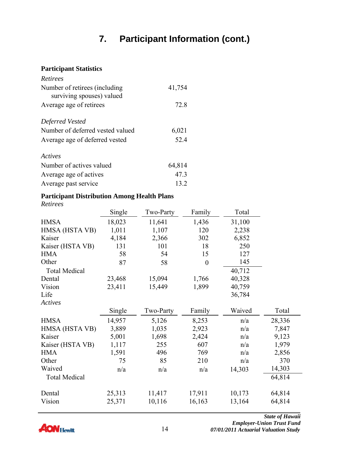# **7. Participant Information (cont.)**

#### **Participant Statistics**

| Retirees                                                    |        |
|-------------------------------------------------------------|--------|
| Number of retirees (including)<br>surviving spouses) valued | 41,754 |
| Average age of retirees                                     | 72.8   |
| Deferred Vested                                             |        |
| Number of deferred vested valued                            | 6,021  |
| Average age of deferred vested                              | 52.4   |
| Actives                                                     |        |
| Number of actives valued                                    | 64,814 |
| Average age of actives                                      | 47.3   |
| Average past service                                        | 13.2   |

#### **Participant Distribution Among Health Plans**

*Retirees* 

|                      | Single | Two-Party | Family           | Total  |        |
|----------------------|--------|-----------|------------------|--------|--------|
| <b>HMSA</b>          | 18,023 | 11,641    | 1,436            | 31,100 |        |
| HMSA (HSTA VB)       | 1,011  | 1,107     | 120              | 2,238  |        |
| Kaiser               | 4,184  | 2,366     | 302              | 6,852  |        |
| Kaiser (HSTA VB)     | 131    | 101       | 18               | 250    |        |
| <b>HMA</b>           | 58     | 54        | 15               | 127    |        |
| Other                | 87     | 58        | $\boldsymbol{0}$ | 145    |        |
| <b>Total Medical</b> |        |           |                  | 40,712 |        |
| Dental               | 23,468 | 15,094    | 1,766            | 40,328 |        |
| Vision               | 23,411 | 15,449    | 1,899            | 40,759 |        |
| Life                 |        |           |                  | 36,784 |        |
| Actives              |        |           |                  |        |        |
|                      | Single | Two-Party | Family           | Waived | Total  |
| <b>HMSA</b>          | 14,957 | 5,126     | 8,253            | n/a    | 28,336 |
| HMSA (HSTA VB)       | 3,889  | 1,035     | 2,923            | n/a    | 7,847  |
| Kaiser               | 5,001  | 1,698     | 2,424            | n/a    | 9,123  |
| Kaiser (HSTA VB)     | 1,117  | 255       | 607              | n/a    | 1,979  |
| <b>HMA</b>           | 1,591  | 496       | 769              | n/a    | 2,856  |
| Other                | 75     | 85        | 210              | n/a    | 370    |
| Waived               | n/a    | n/a       | n/a              | 14,303 | 14,303 |
| <b>Total Medical</b> |        |           |                  |        | 64,814 |
| Dental               | 25,313 | 11,417    | 17,911           | 10,173 | 64,814 |
| Vision               | 25,371 | 10,116    | 16,163           | 13,164 | 64,814 |



*State of Hawaii Employer-Union Trust Fund 07/01/2011 Actuarial Valuation Study*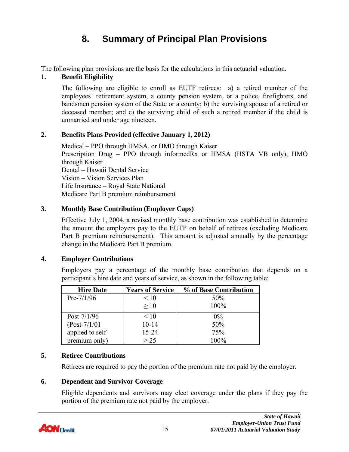# **8. Summary of Principal Plan Provisions**

<span id="page-17-0"></span>The following plan provisions are the basis for the calculations in this actuarial valuation.

#### **1. Benefit Eligibility**

The following are eligible to enroll as EUTF retirees: a) a retired member of the employees' retirement system, a county pension system, or a police, firefighters, and bandsmen pension system of the State or a county; b) the surviving spouse of a retired or deceased member; and c) the surviving child of such a retired member if the child is unmarried and under age nineteen.

#### **2. Benefits Plans Provided (effective January 1, 2012)**

Medical – PPO through HMSA, or HMO through Kaiser Prescription Drug – PPO through informedRx or HMSA (HSTA VB only); HMO through Kaiser Dental – Hawaii Dental Service Vision – Vision Services Plan Life Insurance – Royal State National Medicare Part B premium reimbursement

#### **3. Monthly Base Contribution (Employer Caps)**

Effective July 1, 2004, a revised monthly base contribution was established to determine the amount the employers pay to the EUTF on behalf of retirees (excluding Medicare Part B premium reimbursement). This amount is adjusted annually by the percentage change in the Medicare Part B premium.

### **4. Employer Contributions**

Employers pay a percentage of the monthly base contribution that depends on a participant's hire date and years of service, as shown in the following table:

| <b>Hire Date</b> | <b>Years of Service</b> | % of Base Contribution |
|------------------|-------------------------|------------------------|
| $Pre-7/1/96$     | < 10                    | 50%                    |
|                  | >10                     | 100%                   |
| Post- $7/1/96$   | < 10                    | $0\%$                  |
| $(Post-7/1/01)$  | $10 - 14$               | 50%                    |
| applied to self  | 15-24                   | 75%                    |
| premium only)    | > 25                    | $100\%$                |

### **5. Retiree Contributions**

Retirees are required to pay the portion of the premium rate not paid by the employer.

### **6. Dependent and Survivor Coverage**

Eligible dependents and survivors may elect coverage under the plans if they pay the portion of the premium rate not paid by the employer.

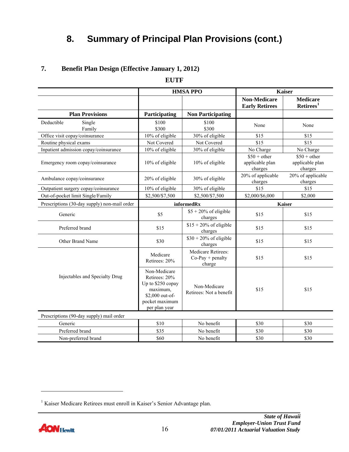# **8. Summary of Principal Plan Provisions (cont.)**

**EUTF** 

|                                              |                                                                                                                      | <b>HMSA PPO</b>                                    |                                              | <b>Kaiser</b>                               |
|----------------------------------------------|----------------------------------------------------------------------------------------------------------------------|----------------------------------------------------|----------------------------------------------|---------------------------------------------|
|                                              |                                                                                                                      |                                                    | <b>Non-Medicare</b><br><b>Early Retirees</b> | <b>Medicare</b><br>Retires <sup>1</sup>     |
| <b>Plan Provisions</b>                       | Participating                                                                                                        | <b>Non Participating</b>                           |                                              |                                             |
| Deductible<br>Single<br>Family               | \$100<br>\$300                                                                                                       | \$100<br>\$300                                     | None                                         | None                                        |
| Office visit copay/coinsurance               | 10% of eligible                                                                                                      | 30% of eligible                                    | \$15                                         | \$15                                        |
| Routine physical exams                       | Not Covered                                                                                                          | Not Covered                                        | \$15                                         | \$15                                        |
| Inpatient admission copay/coinsurance        | 10% of eligible                                                                                                      | 30% of eligible                                    | No Charge                                    | No Charge                                   |
| Emergency room copay/coinsurance             | 10% of eligible                                                                                                      | 10% of eligible                                    | $$50 + other$<br>applicable plan<br>charges  | $$50 + other$<br>applicable plan<br>charges |
| Ambulance copay/coinsurance                  | 20% of eligible                                                                                                      | 30% of eligible                                    | 20% of applicable<br>charges                 | 20% of applicable<br>charges                |
| Outpatient surgery copay/coinsurance         | 10% of eligible                                                                                                      | 30% of eligible                                    | \$15                                         | \$15                                        |
| Out-of-pocket limit Single/Family            | \$2,500/\$7,500                                                                                                      | \$2,500/\$7,500                                    | \$2,000/\$6,000                              | \$2,000                                     |
| Prescriptions (30-day supply) non-mail order |                                                                                                                      | informedRx                                         | Kaiser                                       |                                             |
| Generic                                      | \$5                                                                                                                  | $$5 + 20\%$ of eligible<br>charges                 | \$15                                         | \$15                                        |
| Preferred brand                              | \$15                                                                                                                 | $$15 + 20\%$ of eligible<br>charges                | \$15                                         | \$15                                        |
| Other Brand Name                             | \$30                                                                                                                 | $$30 + 20\%$ of eligible<br>charges                | \$15                                         | \$15                                        |
|                                              | Medicare<br>Retirees: 20%                                                                                            | Medicare Retirees:<br>$Co-Pay + penalty$<br>charge | \$15                                         | \$15                                        |
| Injectables and Specialty Drug               | Non-Medicare<br>Retirees: 20%<br>Up to \$250 copay<br>maximum,<br>\$2,000 out-of-<br>pocket maximum<br>per plan year | Non-Medicare<br>Retirees: Not a benefit            | \$15                                         | \$15                                        |
| Prescriptions (90-day supply) mail order     |                                                                                                                      |                                                    |                                              |                                             |
| Generic                                      | \$10                                                                                                                 | No benefit                                         | \$30                                         | \$30                                        |
| Preferred brand                              | \$35                                                                                                                 | No benefit                                         | \$30                                         | \$30                                        |
| Non-preferred brand                          | \$60                                                                                                                 | No benefit                                         | \$30                                         | \$30                                        |

#### **7. Benefit Plan Design (Effective January 1, 2012)**

 $\overline{a}$ 

<span id="page-18-0"></span><sup>&</sup>lt;sup>1</sup> Kaiser Medicare Retirees must enroll in Kaiser's Senior Advantage plan.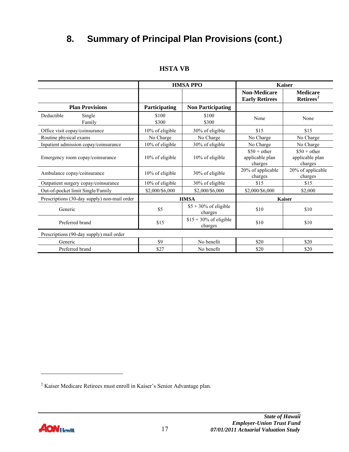# **8. Summary of Principal Plan Provisions (cont.)**

|                                              |                 | <b>HMSA PPO</b>                     |                                              | <b>Kaiser</b>                               |
|----------------------------------------------|-----------------|-------------------------------------|----------------------------------------------|---------------------------------------------|
|                                              |                 |                                     | <b>Non-Medicare</b><br><b>Early Retirees</b> | <b>Medicare</b><br>Retirees <sup>2</sup>    |
| <b>Plan Provisions</b>                       | Participating   | <b>Non Participating</b>            |                                              |                                             |
| Deductible<br>Single<br>Family               | \$100<br>\$300  | \$100<br>\$300                      | None                                         | None                                        |
| Office visit copay/coinsurance               | 10% of eligible | 30% of eligible                     | \$15                                         | \$15                                        |
| Routine physical exams                       | No Charge       | No Charge                           | No Charge                                    | No Charge                                   |
| Inpatient admission copay/coinsurance        | 10% of eligible | 30% of eligible                     | No Charge                                    | No Charge                                   |
| Emergency room copay/coinsurance             | 10% of eligible | 10% of eligible                     | $$50 + other$<br>applicable plan<br>charges  | $$50 + other$<br>applicable plan<br>charges |
| Ambulance copay/coinsurance                  | 10% of eligible | 30% of eligible                     | 20% of applicable<br>charges                 | 20% of applicable<br>charges                |
| Outpatient surgery copay/coinsurance         | 10% of eligible | 30% of eligible                     | \$15                                         | \$15                                        |
| Out-of-pocket limit Single/Family            | \$2,000/\$6,000 | \$2,000/\$6,000                     | \$2,000/\$6,000                              | \$2,000                                     |
| Prescriptions (30-day supply) non-mail order |                 | <b>HMSA</b>                         |                                              | <b>Kaiser</b>                               |
| Generic                                      | \$5             | $$5 + 30\%$ of eligible<br>charges  | \$10                                         | \$10                                        |
| Preferred brand                              | \$15            | $$15 + 30\%$ of eligible<br>charges | \$10                                         | \$10                                        |
| Prescriptions (90-day supply) mail order     |                 |                                     |                                              |                                             |
| Generic                                      | \$9             | No benefit                          | \$20                                         | \$20                                        |
| Preferred brand                              | \$27            | No benefit                          | \$20                                         | \$20                                        |

#### **HSTA VB**

 $\overline{a}$ 

<span id="page-19-0"></span><sup>&</sup>lt;sup>2</sup> Kaiser Medicare Retirees must enroll in Kaiser's Senior Advantage plan.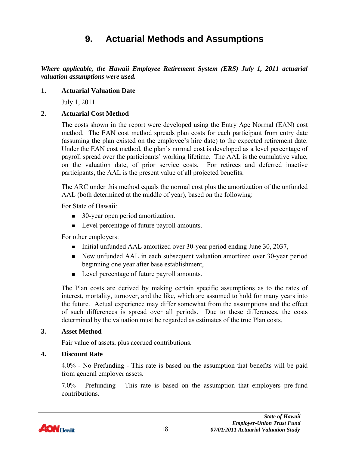### **9. Actuarial Methods and Assumptions**

<span id="page-20-0"></span>*Where applicable, the Hawaii Employee Retirement System (ERS) July 1, 2011 actuarial valuation assumptions were used.* 

#### **1. Actuarial Valuation Date**

July 1, 2011

#### **2. Actuarial Cost Method**

The costs shown in the report were developed using the Entry Age Normal (EAN) cost method. The EAN cost method spreads plan costs for each participant from entry date (assuming the plan existed on the employee's hire date) to the expected retirement date. Under the EAN cost method, the plan's normal cost is developed as a level percentage of payroll spread over the participants' working lifetime. The AAL is the cumulative value, on the valuation date, of prior service costs. For retirees and deferred inactive participants, the AAL is the present value of all projected benefits.

The ARC under this method equals the normal cost plus the amortization of the unfunded AAL (both determined at the middle of year), based on the following:

For State of Hawaii:

- 30-year open period amortization.
- Level percentage of future payroll amounts.

For other employers:

- Initial unfunded AAL amortized over 30-year period ending June 30, 2037,
- New unfunded AAL in each subsequent valuation amortized over 30-year period beginning one year after base establishment,
- Level percentage of future payroll amounts.

The Plan costs are derived by making certain specific assumptions as to the rates of interest, mortality, turnover, and the like, which are assumed to hold for many years into the future. Actual experience may differ somewhat from the assumptions and the effect of such differences is spread over all periods. Due to these differences, the costs determined by the valuation must be regarded as estimates of the true Plan costs.

#### **3. Asset Method**

Fair value of assets, plus accrued contributions.

#### **4. Discount Rate**

4.0% - No Prefunding - This rate is based on the assumption that benefits will be paid from general employer assets.

7.0% - Prefunding - This rate is based on the assumption that employers pre-fund contributions.

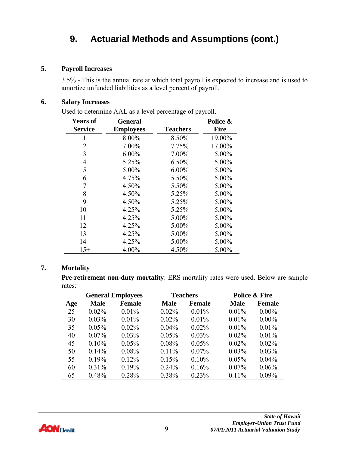#### **5. Payroll Increases**

3.5% - This is the annual rate at which total payroll is expected to increase and is used to amortize unfunded liabilities as a level percent of payroll.

#### **6. Salary Increases**

Used to determine AAL as a level percentage of payroll.

| Years of       | General          |                 | Police &    |
|----------------|------------------|-----------------|-------------|
| <b>Service</b> | <b>Employees</b> | <b>Teachers</b> | <b>Fire</b> |
| 1              | 8.00%            | 8.50%           | 19.00%      |
| $\overline{2}$ | 7.00%            | 7.75%           | 17.00%      |
| 3              | $6.00\%$         | 7.00%           | 5.00%       |
| 4              | 5.25%            | 6.50%           | 5.00%       |
| 5              | 5.00%            | $6.00\%$        | 5.00%       |
| 6              | 4.75%            | 5.50%           | 5.00%       |
| 7              | 4.50%            | 5.50%           | 5.00%       |
| 8              | 4.50%            | 5.25%           | 5.00%       |
| 9              | 4.50%            | 5.25%           | 5.00%       |
| 10             | 4.25%            | 5.25%           | 5.00%       |
| 11             | 4.25%            | 5.00%           | 5.00%       |
| 12             | 4.25%            | 5.00%           | 5.00%       |
| 13             | 4.25%            | 5.00%           | 5.00%       |
| 14             | 4.25%            | 5.00%           | 5.00%       |
| $15+$          | 4.00%            | 4.50%           | 5.00%       |

#### **7. Mortality**

**Pre-retirement non-duty mortality**: ERS mortality rates were used. Below are sample rates:

| <b>General Employees</b> |             |               | <b>Teachers</b> | Police & Fire |             |               |
|--------------------------|-------------|---------------|-----------------|---------------|-------------|---------------|
| Age                      | <b>Male</b> | <b>Female</b> | <b>Male</b>     | <b>Female</b> | <b>Male</b> | <b>Female</b> |
| 25                       | $0.02\%$    | $0.01\%$      | $0.02\%$        | $0.01\%$      | 0.01%       | $0.00\%$      |
| 30                       | $0.03\%$    | $0.01\%$      | $0.02\%$        | $0.01\%$      | $0.01\%$    | $0.00\%$      |
| 35                       | 0.05%       | $0.02\%$      | $0.04\%$        | 0.02%         | 0.01%       | 0.01%         |
| 40                       | $0.07\%$    | $0.03\%$      | 0.05%           | $0.03\%$      | 0.02%       | $0.01\%$      |
| 45                       | $0.10\%$    | 0.05%         | 0.08%           | 0.05%         | 0.02%       | 0.02%         |
| 50                       | 0.14%       | $0.08\%$      | $0.11\%$        | $0.07\%$      | 0.03%       | 0.03%         |
| 55                       | 0.19%       | 0.12%         | 0.15%           | 0.10%         | 0.05%       | $0.04\%$      |
| 60                       | 0.31%       | 0.19%         | 0.24%           | 0.16%         | $0.07\%$    | 0.06%         |
| 65                       | 0.48%       | 0.28%         | 0.38%           | 0.23%         | 0.11%       | $0.09\%$      |



 $\overline{\phantom{a}}$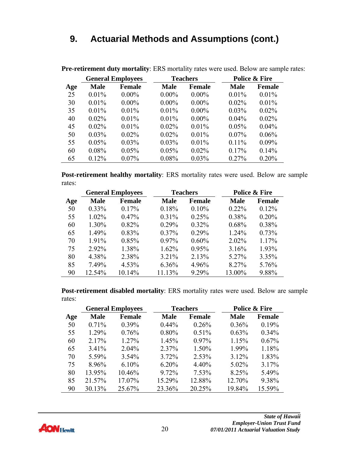| <b>General Employees</b> |             |               | <b>Teachers</b> | Police & Fire |             |               |
|--------------------------|-------------|---------------|-----------------|---------------|-------------|---------------|
| Age                      | <b>Male</b> | <b>Female</b> | <b>Male</b>     | <b>Female</b> | <b>Male</b> | <b>Female</b> |
| 25                       | 0.01%       | $0.00\%$      | $0.00\%$        | $0.00\%$      | 0.01%       | 0.01%         |
| 30                       | $0.01\%$    | $0.00\%$      | $0.00\%$        | $0.00\%$      | $0.02\%$    | $0.01\%$      |
| 35                       | $0.01\%$    | $0.01\%$      | $0.01\%$        | $0.00\%$      | $0.03\%$    | $0.02\%$      |
| 40                       | 0.02%       | $0.01\%$      | $0.01\%$        | $0.00\%$      | $0.04\%$    | $0.02\%$      |
| 45                       | $0.02\%$    | $0.01\%$      | $0.02\%$        | $0.01\%$      | 0.05%       | $0.04\%$      |
| 50                       | $0.03\%$    | $0.02\%$      | $0.02\%$        | $0.01\%$      | $0.07\%$    | 0.06%         |
| 55                       | 0.05%       | $0.03\%$      | $0.03\%$        | $0.01\%$      | $0.11\%$    | $0.09\%$      |
| 60                       | 0.08%       | 0.05%         | 0.05%           | $0.02\%$      | 0.17%       | 0.14%         |
| 65                       | 0.12%       | $0.07\%$      | 0.08%           | 0.03%         | 0.27%       | 0.20%         |

**Pre-retirement duty mortality**: ERS mortality rates were used. Below are sample rates:

**Post-retirement healthy mortality**: ERS mortality rates were used. Below are sample rates:

|     | <b>General Employees</b> |               |             | <b>Teachers</b> |             | <b>Police &amp; Fire</b> |  |
|-----|--------------------------|---------------|-------------|-----------------|-------------|--------------------------|--|
| Age | <b>Male</b>              | <b>Female</b> | <b>Male</b> | <b>Female</b>   | <b>Male</b> | <b>Female</b>            |  |
| 50  | $0.33\%$                 | 0.17%         | 0.18%       | $0.10\%$        | $0.22\%$    | 0.12%                    |  |
| 55  | $1.02\%$                 | 0.47%         | 0.31%       | 0.25%           | 0.38%       | 0.20%                    |  |
| 60  | 1.30%                    | 0.82%         | 0.29%       | $0.32\%$        | 0.68%       | 0.38%                    |  |
| 65  | 1.49%                    | 0.83%         | 0.37%       | $0.29\%$        | 1.24%       | 0.73%                    |  |
| 70  | 1.91%                    | 0.85%         | $0.97\%$    | $0.60\%$        | $2.02\%$    | 1.17%                    |  |
| 75  | 2.92%                    | 1.38%         | 1.62%       | 0.95%           | 3.16%       | 1.93%                    |  |
| 80  | 4.38%                    | 2.38%         | 3.21%       | 2.13%           | 5.27%       | 3.35%                    |  |
| 85  | 7.49%                    | 4.53%         | 6.36%       | 4.96%           | 8.27%       | 5.76%                    |  |
| 90  | 12.54%                   | 10.14%        | 11.13%      | 9.29%           | 13.00%      | 9.88%                    |  |

**Post-retirement disabled mortality**: ERS mortality rates were used. Below are sample rates:

|     | <b>General Employees</b> |               |             | <b>Teachers</b> |             | Police & Fire |  |
|-----|--------------------------|---------------|-------------|-----------------|-------------|---------------|--|
| Age | <b>Male</b>              | <b>Female</b> | <b>Male</b> | <b>Female</b>   | <b>Male</b> | <b>Female</b> |  |
| 50  | $0.71\%$                 | $0.39\%$      | $0.44\%$    | 0.26%           | $0.36\%$    | 0.19%         |  |
| 55  | 1.29%                    | 0.76%         | 0.80%       | 0.51%           | 0.63%       | $0.34\%$      |  |
| 60  | 2.17%                    | 1.27%         | 1.45%       | $0.97\%$        | 1.15%       | 0.67%         |  |
| 65  | 3.41%                    | $2.04\%$      | 2.37%       | 1.50%           | 1.99%       | 1.18%         |  |
| 70  | 5.59%                    | $3.54\%$      | 3.72%       | 2.53%           | 3.12%       | 1.83%         |  |
| 75  | 8.96%                    | $6.10\%$      | 6.20%       | 4.40%           | $5.02\%$    | 3.17%         |  |
| 80  | 13.95%                   | 10.46%        | 9.72%       | 7.53%           | 8.25%       | 5.49%         |  |
| 85  | 21.57%                   | 17.07%        | 15.29%      | 12.88%          | 12.70%      | 9.38%         |  |
| 90  | 30.13%                   | 25.67%        | 23.36%      | 20.25%          | 19.84%      | 15.59%        |  |

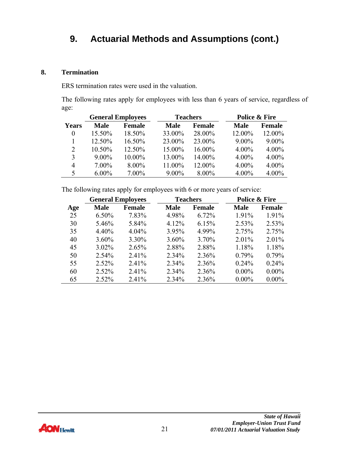#### **8. Termination**

ERS termination rates were used in the valuation.

The following rates apply for employees with less than 6 years of service, regardless of age:

|          | <b>General Employees</b> |               |             | <b>Teachers</b> |             | Police & Fire |  |
|----------|--------------------------|---------------|-------------|-----------------|-------------|---------------|--|
| Years    | <b>Male</b>              | <b>Female</b> | <b>Male</b> | <b>Female</b>   | <b>Male</b> | <b>Female</b> |  |
| $\theta$ | 15.50%                   | 18.50%        | 33.00%      | 28.00%          | 12.00%      | 12.00%        |  |
|          | 12.50%                   | 16.50%        | 23.00%      | 23.00%          | $9.00\%$    | $9.00\%$      |  |
| 2        | 10.50%                   | 12.50%        | 15.00%      | 16.00%          | $4.00\%$    | $4.00\%$      |  |
| 3        | $9.00\%$                 | 10.00%        | 13.00%      | 14.00%          | 4.00%       | $4.00\%$      |  |
| 4        | $7.00\%$                 | $8.00\%$      | 11.00%      | 12.00%          | 4.00%       | $4.00\%$      |  |
| 5        | $6.00\%$                 | 7.00%         | $9.00\%$    | $8.00\%$        | 4.00%       | 4.00%         |  |

The following rates apply for employees with 6 or more years of service:

| <b>General Employees</b> |             |          | <b>Teachers</b> |               | <b>Police &amp; Fire</b> |               |
|--------------------------|-------------|----------|-----------------|---------------|--------------------------|---------------|
| Age                      | <b>Male</b> | Female   | <b>Male</b>     | <b>Female</b> | <b>Male</b>              | <b>Female</b> |
| 25                       | $6.50\%$    | 7.83%    | 4.98%           | 6.72%         | 1.91%                    | 1.91%         |
| 30                       | 5.46%       | 5.84%    | 4.12%           | 6.15%         | 2.53%                    | 2.53%         |
| 35                       | 4.40%       | $4.04\%$ | 3.95%           | 4.99%         | 2.75%                    | 2.75%         |
| 40                       | $3.60\%$    | 3.30%    | $3.60\%$        | 3.70%         | 2.01%                    | 2.01%         |
| 45                       | $3.02\%$    | 2.65%    | 2.88%           | 2.88%         | 1.18%                    | 1.18%         |
| 50                       | 2.54%       | 2.41%    | 2.34%           | 2.36%         | 0.79%                    | 0.79%         |
| 55                       | 2.52%       | 2.41%    | 2.34%           | 2.36%         | $0.24\%$                 | 0.24%         |
| 60                       | 2.52%       | 2.41%    | 2.34%           | 2.36%         | $0.00\%$                 | $0.00\%$      |
| 65                       | 2.52%       | 2.41%    | 2.34%           | 2.36%         | $0.00\%$                 | $0.00\%$      |

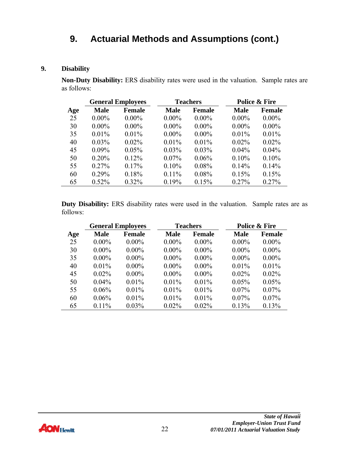#### **9. Disability**

**Non-Duty Disability:** ERS disability rates were used in the valuation. Sample rates are as follows:

| <b>General Employees</b> |             | <b>Teachers</b> |             | Police & Fire |             |               |
|--------------------------|-------------|-----------------|-------------|---------------|-------------|---------------|
| Age                      | <b>Male</b> | <b>Female</b>   | <b>Male</b> | <b>Female</b> | <b>Male</b> | <b>Female</b> |
| 25                       | $0.00\%$    | $0.00\%$        | $0.00\%$    | $0.00\%$      | $0.00\%$    | $0.00\%$      |
| 30                       | $0.00\%$    | $0.00\%$        | $0.00\%$    | $0.00\%$      | $0.00\%$    | $0.00\%$      |
| 35                       | $0.01\%$    | $0.01\%$        | $0.00\%$    | $0.00\%$      | $0.01\%$    | $0.01\%$      |
| 40                       | $0.03\%$    | $0.02\%$        | $0.01\%$    | $0.01\%$      | $0.02\%$    | $0.02\%$      |
| 45                       | $0.09\%$    | 0.05%           | $0.03\%$    | $0.03\%$      | $0.04\%$    | $0.04\%$      |
| 50                       | 0.20%       | $0.12\%$        | $0.07\%$    | 0.06%         | 0.10%       | 0.10%         |
| 55                       | 0.27%       | $0.17\%$        | 0.10%       | 0.08%         | 0.14%       | 0.14%         |
| 60                       | 0.29%       | 0.18%           | $0.11\%$    | 0.08%         | 0.15%       | 0.15%         |
| 65                       | 0.52%       | 0.32%           | 0.19%       | 0.15%         | 0.27%       | 0.27%         |

**Duty Disability:** ERS disability rates were used in the valuation. Sample rates are as follows:

|     | <b>General Employees</b> |               | <b>Teachers</b> |               | <b>Police &amp; Fire</b> |               |
|-----|--------------------------|---------------|-----------------|---------------|--------------------------|---------------|
| Age | <b>Male</b>              | <b>Female</b> | <b>Male</b>     | <b>Female</b> | <b>Male</b>              | <b>Female</b> |
| 25  | $0.00\%$                 | $0.00\%$      | $0.00\%$        | $0.00\%$      | $0.00\%$                 | $0.00\%$      |
| 30  | $0.00\%$                 | $0.00\%$      | $0.00\%$        | $0.00\%$      | $0.00\%$                 | $0.00\%$      |
| 35  | $0.00\%$                 | $0.00\%$      | $0.00\%$        | $0.00\%$      | $0.00\%$                 | $0.00\%$      |
| 40  | $0.01\%$                 | $0.00\%$      | $0.00\%$        | $0.00\%$      | $0.01\%$                 | $0.01\%$      |
| 45  | $0.02\%$                 | $0.00\%$      | $0.00\%$        | $0.00\%$      | $0.02\%$                 | $0.02\%$      |
| 50  | $0.04\%$                 | $0.01\%$      | $0.01\%$        | $0.01\%$      | 0.05%                    | 0.05%         |
| 55  | 0.06%                    | $0.01\%$      | $0.01\%$        | $0.01\%$      | $0.07\%$                 | $0.07\%$      |
| 60  | 0.06%                    | 0.01%         | 0.01%           | $0.01\%$      | $0.07\%$                 | $0.07\%$      |
| 65  | $0.11\%$                 | 0.03%         | $0.02\%$        | $0.02\%$      | 0.13%                    | 0.13%         |

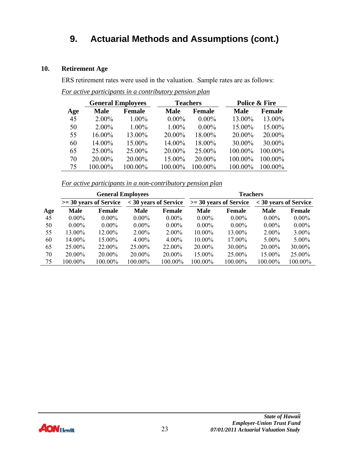#### **10. Retirement Age**

ERS retirement rates were used in the valuation. Sample rates are as follows:

|     | <b>General Employees</b> |               | <b>Teachers</b> |               | <b>Police &amp; Fire</b> |               |
|-----|--------------------------|---------------|-----------------|---------------|--------------------------|---------------|
| Age | <b>Male</b>              | <b>Female</b> | <b>Male</b>     | <b>Female</b> | <b>Male</b>              | <b>Female</b> |
| 45  | $2.00\%$                 | $1.00\%$      | $0.00\%$        | $0.00\%$      | 13.00%                   | 13.00%        |
| 50  | $2.00\%$                 | $1.00\%$      | 1.00%           | $0.00\%$      | 15.00%                   | 15.00%        |
| 55  | 16.00%                   | 13.00%        | 20.00%          | 18.00%        | 20.00%                   | 20.00%        |
| 60  | 14.00%                   | 15.00%        | 14.00%          | 18.00%        | 30.00%                   | 30.00%        |
| 65  | 25.00%                   | 25.00%        | 20.00%          | 25.00%        | 100.00%                  | 100.00%       |
| 70  | 20.00%                   | 20.00%        | 15.00%          | 20.00%        | 100.00%                  | 100.00%       |
| 75  | 100.00%                  | 100.00%       | 100.00%         | 100.00%       | 100.00%                  | 100.00%       |

*For active participants in a contributory pension plan*

*For active participants in a non-contributory pension plan*

|     | <b>General Employees</b> |                          |                       |           | <b>Teachers</b> |                          |                       |               |
|-----|--------------------------|--------------------------|-----------------------|-----------|-----------------|--------------------------|-----------------------|---------------|
|     |                          | $>=$ 30 years of Service | < 30 years of Service |           |                 | $>=$ 30 years of Service | < 30 years of Service |               |
| Age | <b>Male</b>              | Female                   | <b>Male</b>           | Female    | <b>Male</b>     | Female                   | <b>Male</b>           | <b>Female</b> |
| 45  | $0.00\%$                 | $0.00\%$                 | $0.00\%$              | $0.00\%$  | $0.00\%$        | $0.00\%$                 | $0.00\%$              | $0.00\%$      |
| 50  | $0.00\%$                 | $0.00\%$                 | $0.00\%$              | $0.00\%$  | $0.00\%$        | $0.00\%$                 | $0.00\%$              | $0.00\%$      |
| 55  | 13.00%                   | 12.00%                   | $2.00\%$              | $2.00\%$  | $10.00\%$       | 13.00%                   | $2.00\%$              | $3.00\%$      |
| 60  | 14.00%                   | 15.00%                   | $4.00\%$              | $4.00\%$  | $10.00\%$       | 17.00%                   | $5.00\%$              | $5.00\%$      |
| 65  | 25.00%                   | 22.00%                   | 25.00%                | 22.00%    | 20.00%          | 30.00%                   | 20.00%                | 30.00%        |
| 70  | $20.00\%$                | 20.00%                   | $20.00\%$             | $20.00\%$ | 15.00%          | $25.00\%$                | 15.00%                | 25.00%        |
| 75  | 100.00%                  | 100.00%                  | 100.00%               | 100.00%   | 100.00%         | 100.00%                  | 100.00%               | 100.00%       |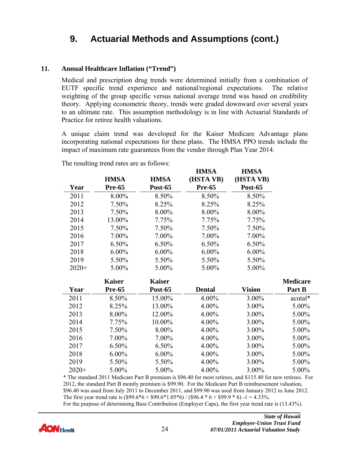#### **11. Annual Healthcare Inflation ("Trend")**

Medical and prescription drug trends were determined initially from a combination of EUTF specific trend experience and national/regional expectations. The relative weighting of the group specific versus national average trend was based on credibility theory. Applying econometric theory, trends were graded downward over several years to an ultimate rate. This assumption methodology is in line with Actuarial Standards of Practice for retiree health valuations.

A unique claim trend was developed for the Kaiser Medicare Advantage plans incorporating national expectations for these plans. The HMSA PPO trends include the impact of maximum rate guarantees from the vendor through Plan Year 2014.

**HMSA** 

**HMSA** 

|         |               |                | <b>TTIANTI</b> | <b>TTIATOLI</b> |                 |
|---------|---------------|----------------|----------------|-----------------|-----------------|
|         | <b>HMSA</b>   | <b>HMSA</b>    | (HSTA VB)      | (HSTA VB)       |                 |
| Year    | <b>Pre-65</b> | <b>Post-65</b> | <b>Pre-65</b>  | <b>Post-65</b>  |                 |
| 2011    | 8.00%         | 8.50%          | 8.50%          | 8.50%           |                 |
| 2012    | 7.50%         | 8.25%          | 8.25%          | 8.25%           |                 |
| 2013    | 7.50%         | 8.00%          | 8.00%          | 8.00%           |                 |
| 2014    | 13.00%        | 7.75%          | 7.75%          | 7.75%           |                 |
| 2015    | 7.50%         | 7.50%          | 7.50%          | 7.50%           |                 |
| 2016    | 7.00%         | 7.00%          | 7.00%          | 7.00%           |                 |
| 2017    | 6.50%         | 6.50%          | 6.50%          | 6.50%           |                 |
| 2018    | $6.00\%$      | $6.00\%$       | $6.00\%$       | $6.00\%$        |                 |
| 2019    | 5.50%         | 5.50%          | 5.50%          | 5.50%           |                 |
| $2020+$ | 5.00%         | 5.00%          | 5.00%          | 5.00%           |                 |
|         |               |                |                |                 |                 |
|         | <b>Kaiser</b> | <b>Kaiser</b>  |                |                 | <b>Medicare</b> |
| Year    | <b>Pre-65</b> | <b>Post-65</b> | <b>Dental</b>  | <b>Vision</b>   | Part B          |
| 2011    | 8.50%         | 15.00%         | 4.00%          | 3.00%           | acutal*         |
| 2012    | 8.25%         | 13.00%         | 4.00%          | 3.00%           | 5.00%           |
| 2013    | 8.00%         | 12.00%         | 4.00%          | 3.00%           | 5.00%           |
| 2014    | 7.75%         | 10.00%         | 4.00%          | 3.00%           | 5.00%           |
| 2015    | 7.50%         | 8.00%          | 4.00%          | 3.00%           | 5.00%           |
| 2016    | 7.00%         | 7.00%          | 4.00%          | 3.00%           | 5.00%           |
| 2017    | 6.50%         | 6.50%          | 4.00%          | 3.00%           | 5.00%           |
| 2018    | $6.00\%$      | $6.00\%$       | 4.00%          | $3.00\%$        | 5.00%           |
| 2019    | 5.50%         | 5.50%          | 4.00%          | 3.00%           | 5.00%           |

The resulting trend rates are as follows:

\* The standard 2011 Medicare Part B premium is \$96.40 for most retirees, and \$115.40 for new retirees. For 2012, the standard Part B montly premium is \$99.90. For the Medicare Part B reimbursement valuation, \$96.40 was used from July 2011 to December 2011, and \$99.90 was used from January 2012 to June 2012. The first year trend rate is  $(\$99.6*6 + \$99.6*1.05*6$  /  $(\$96.4*6 + \$99.9*6) -1 = 4.33\%$ . For the purpose of determining Base Contribution (Employer Caps), the first year trend rate is (13.43%).

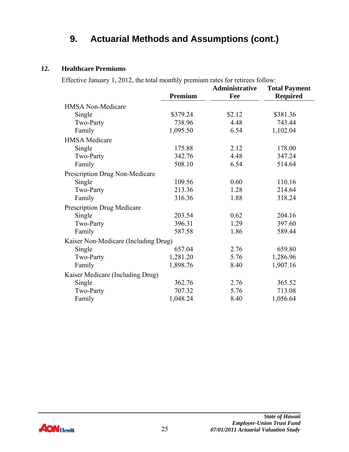#### **12. Healthcare Premiums**

Effective January 1, 2012, the total monthly premium rates for retirees follow:

|                                      | Premium  | <b>Administrative</b><br>Fee | <b>Total Payment</b><br><b>Required</b> |
|--------------------------------------|----------|------------------------------|-----------------------------------------|
| <b>HMSA Non-Medicare</b>             |          |                              |                                         |
| Single                               | \$379.24 | \$2.12                       | \$381.36                                |
| Two-Party                            | 738.96   | 4.48                         | 743.44                                  |
| Family                               | 1,095.50 | 6.54                         | 1,102.04                                |
| <b>HMSA</b> Medicare                 |          |                              |                                         |
| Single                               | 175.88   | 2.12                         | 178.00                                  |
| Two-Party                            | 342.76   | 4.48                         | 347.24                                  |
| Family                               | 508.10   | 6.54                         | 514.64                                  |
| Prescription Drug Non-Medicare       |          |                              |                                         |
| Single                               | 109.56   | 0.60                         | 110.16                                  |
| Two-Party                            | 213.36   | 1.28                         | 214.64                                  |
| Family                               | 316.36   | 1.88                         | 318.24                                  |
| <b>Prescription Drug Medicare</b>    |          |                              |                                         |
| Single                               | 203.54   | 0.62                         | 204.16                                  |
| Two-Party                            | 396.31   | 1.29                         | 397.60                                  |
| Family                               | 587.58   | 1.86                         | 589.44                                  |
| Kaiser Non-Medicare (Including Drug) |          |                              |                                         |
| Single                               | 657.04   | 2.76                         | 659.80                                  |
| Two-Party                            | 1,281.20 | 5.76                         | 1,286.96                                |
| Family                               | 1,898.76 | 8.40                         | 1,907.16                                |
| Kaiser Medicare (Including Drug)     |          |                              |                                         |
| Single                               | 362.76   | 2.76                         | 365.52                                  |
| Two-Party                            | 707.32   | 5.76                         | 713.08                                  |
| Family                               | 1,048.24 | 8.40                         | 1,056.64                                |

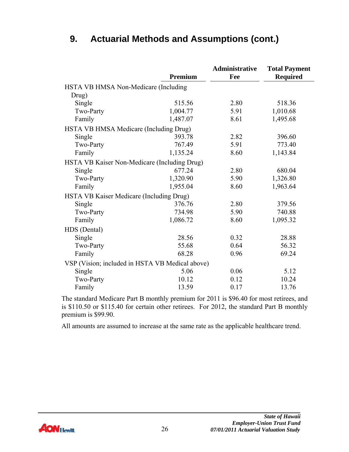|                                                 | Premium  | Administrative<br>Fee | <b>Total Payment</b><br><b>Required</b> |
|-------------------------------------------------|----------|-----------------------|-----------------------------------------|
| HSTA VB HMSA Non-Medicare (Including            |          |                       |                                         |
| Drug)                                           |          |                       |                                         |
| Single                                          | 515.56   | 2.80                  | 518.36                                  |
| Two-Party                                       | 1,004.77 | 5.91                  | 1,010.68                                |
| Family                                          | 1,487.07 | 8.61                  | 1,495.68                                |
| HSTA VB HMSA Medicare (Including Drug)          |          |                       |                                         |
| Single                                          | 393.78   | 2.82                  | 396.60                                  |
| Two-Party                                       | 767.49   | 5.91                  | 773.40                                  |
| Family                                          | 1,135.24 | 8.60                  | 1,143.84                                |
| HSTA VB Kaiser Non-Medicare (Including Drug)    |          |                       |                                         |
| Single                                          | 677.24   | 2.80                  | 680.04                                  |
| Two-Party                                       | 1,320.90 | 5.90                  | 1,326.80                                |
| Family                                          | 1,955.04 | 8.60                  | 1,963.64                                |
| HSTA VB Kaiser Medicare (Including Drug)        |          |                       |                                         |
| Single                                          | 376.76   | 2.80                  | 379.56                                  |
| Two-Party                                       | 734.98   | 5.90                  | 740.88                                  |
| Family                                          | 1,086.72 | 8.60                  | 1,095.32                                |
| HDS (Dental)                                    |          |                       |                                         |
| Single                                          | 28.56    | 0.32                  | 28.88                                   |
| Two-Party                                       | 55.68    | 0.64                  | 56.32                                   |
| Family                                          | 68.28    | 0.96                  | 69.24                                   |
| VSP (Vision; included in HSTA VB Medical above) |          |                       |                                         |
| Single                                          | 5.06     | 0.06                  | 5.12                                    |
| Two-Party                                       | 10.12    | 0.12                  | 10.24                                   |
| Family                                          | 13.59    | 0.17                  | 13.76                                   |

The standard Medicare Part B monthly premium for 2011 is \$96.40 for most retirees, and is \$110.50 or \$115.40 for certain other retirees. For 2012, the standard Part B monthly premium is \$99.90.

All amounts are assumed to increase at the same rate as the applicable healthcare trend.

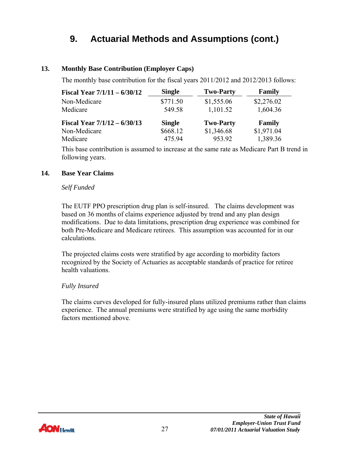#### **13. Monthly Base Contribution (Employer Caps)**

The monthly base contribution for the fiscal years 2011/2012 and 2012/2013 follows:

| Fiscal Year $7/1/11 - 6/30/12$ | <b>Single</b> | <b>Two-Party</b> | Family     |
|--------------------------------|---------------|------------------|------------|
| Non-Medicare                   | \$771.50      | \$1,555.06       | \$2,276.02 |
| Medicare                       | 549.58        | 1,101.52         | 1,604.36   |
| Fiscal Year $7/1/12 - 6/30/13$ | <b>Single</b> | <b>Two-Party</b> | Family     |
| Non-Medicare                   | \$668.12      | \$1,346.68       | \$1,971.04 |
| Medicare                       | 475.94        | 953.92           | 1,389.36   |

This base contribution is assumed to increase at the same rate as Medicare Part B trend in following years.

#### **14. Base Year Claims**

#### *Self Funded*

The EUTF PPO prescription drug plan is self-insured. The claims development was based on 36 months of claims experience adjusted by trend and any plan design modifications. Due to data limitations, prescription drug experience was combined for both Pre-Medicare and Medicare retirees. This assumption was accounted for in our calculations.

The projected claims costs were stratified by age according to morbidity factors recognized by the Society of Actuaries as acceptable standards of practice for retiree health valuations.

#### *Fully Insured*

The claims curves developed for fully-insured plans utilized premiums rather than claims experience. The annual premiums were stratified by age using the same morbidity factors mentioned above.

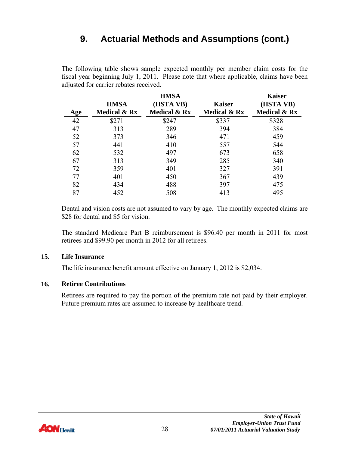The following table shows sample expected monthly per member claim costs for the fiscal year beginning July 1, 2011. Please note that where applicable, claims have been adjusted for carrier rebates received.

|     |                         | <b>HMSA</b>             |                         | <b>Kaiser</b> |
|-----|-------------------------|-------------------------|-------------------------|---------------|
|     | <b>HMSA</b>             | (HSTA VB)               | <b>Kaiser</b>           | (HSTA VB)     |
| Age | <b>Medical &amp; Rx</b> | <b>Medical &amp; Rx</b> | <b>Medical &amp; Rx</b> | Medical & Rx  |
| 42  | \$271                   | \$247                   | \$337                   | \$328         |
| 47  | 313                     | 289                     | 394                     | 384           |
| 52  | 373                     | 346                     | 471                     | 459           |
| 57  | 441                     | 410                     | 557                     | 544           |
| 62  | 532                     | 497                     | 673                     | 658           |
| 67  | 313                     | 349                     | 285                     | 340           |
| 72  | 359                     | 401                     | 327                     | 391           |
| 77  | 401                     | 450                     | 367                     | 439           |
| 82  | 434                     | 488                     | 397                     | 475           |
| 87  | 452                     | 508                     | 413                     | 495           |

Dental and vision costs are not assumed to vary by age. The monthly expected claims are \$28 for dental and \$5 for vision.

The standard Medicare Part B reimbursement is \$96.40 per month in 2011 for most retirees and \$99.90 per month in 2012 for all retirees.

#### **15. Life Insurance**

The life insurance benefit amount effective on January 1, 2012 is \$2,034.

#### **16. Retiree Contributions**

Retirees are required to pay the portion of the premium rate not paid by their employer. Future premium rates are assumed to increase by healthcare trend.

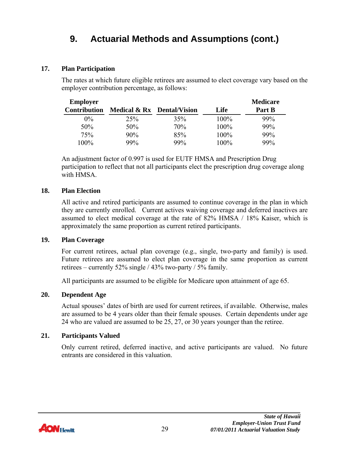#### **17. Plan Participation**

The rates at which future eligible retirees are assumed to elect coverage vary based on the employer contribution percentage, as follows:

| <b>Employer</b>     |                            |     |      | <b>Medicare</b> |
|---------------------|----------------------------|-----|------|-----------------|
| <b>Contribution</b> | Medical & Rx Dental/Vision |     | Life | Part B          |
| $0\%$               | 25%                        | 35% | 100% | 99%             |
| 50%                 | 50%                        | 70% | 100% | 99%             |
| 75%                 | 90%                        | 85% | 100% | 99%             |
| 100%                | 99%                        | 99% | 100% | 99%             |

An adjustment factor of 0.997 is used for EUTF HMSA and Prescription Drug participation to reflect that not all participants elect the prescription drug coverage along with HMSA.

#### **18. Plan Election**

All active and retired participants are assumed to continue coverage in the plan in which they are currently enrolled. Current actives waiving coverage and deferred inactives are assumed to elect medical coverage at the rate of 82% HMSA / 18% Kaiser, which is approximately the same proportion as current retired participants.

#### **19. Plan Coverage**

For current retirees, actual plan coverage (e.g., single, two-party and family) is used. Future retirees are assumed to elect plan coverage in the same proportion as current retirees – currently 52% single / 43% two-party / 5% family.

All participants are assumed to be eligible for Medicare upon attainment of age 65.

#### **20. Dependent Age**

Actual spouses' dates of birth are used for current retirees, if available. Otherwise, males are assumed to be 4 years older than their female spouses. Certain dependents under age 24 who are valued are assumed to be 25, 27, or 30 years younger than the retiree.

#### **21. Participants Valued**

Only current retired, deferred inactive, and active participants are valued. No future entrants are considered in this valuation.

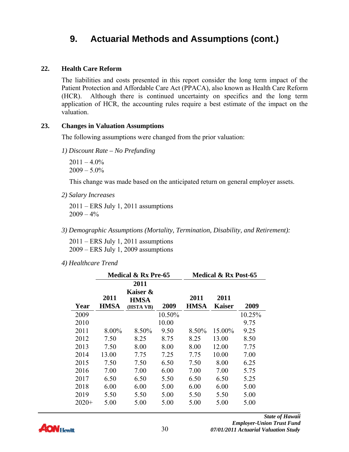#### **22. Health Care Reform**

The liabilities and costs presented in this report consider the long term impact of the Patient Protection and Affordable Care Act (PPACA), also known as Health Care Reform (HCR). Although there is continued uncertainty on specifics and the long term application of HCR, the accounting rules require a best estimate of the impact on the valuation.

#### **23. Changes in Valuation Assumptions**

The following assumptions were changed from the prior valuation:

*1) Discount Rate – No Prefunding* 

 $2011 - 4.0\%$  $2009 - 5.0\%$ 

This change was made based on the anticipated return on general employer assets.

*2) Salary Increases* 

2011 – ERS July 1, 2011 assumptions  $2009 - 4\%$ 

*3) Demographic Assumptions (Mortality, Termination, Disability, and Retirement):* 

2011 – ERS July 1, 2011 assumptions 2009 – ERS July 1, 2009 assumptions

*4) Healthcare Trend* 

|         |                     | Medical & Rx Pre-65                          |        | <b>Medical &amp; Rx Post-65</b> |                       |        |  |  |
|---------|---------------------|----------------------------------------------|--------|---------------------------------|-----------------------|--------|--|--|
| Year    | 2011<br><b>HMSA</b> | 2011<br>Kaiser &<br><b>HMSA</b><br>(HSTA VB) | 2009   | 2011<br><b>HMSA</b>             | 2011<br><b>Kaiser</b> | 2009   |  |  |
| 2009    |                     |                                              | 10.50% |                                 |                       | 10.25% |  |  |
| 2010    |                     |                                              | 10.00  |                                 |                       | 9.75   |  |  |
| 2011    | 8.00%               | 8.50%                                        | 9.50   | 8.50%                           | 15.00%                | 9.25   |  |  |
| 2012    | 7.50                | 8.25                                         | 8.75   | 8.25                            | 13.00                 | 8.50   |  |  |
| 2013    | 7.50                | 8.00                                         | 8.00   | 8.00                            | 12.00                 | 7.75   |  |  |
| 2014    | 13.00               | 7.75                                         | 7.25   | 7.75                            | 10.00                 | 7.00   |  |  |
| 2015    | 7.50                | 7.50                                         | 6.50   | 7.50                            | 8.00                  | 6.25   |  |  |
| 2016    | 7.00                | 7.00                                         | 6.00   | 7.00                            | 7.00                  | 5.75   |  |  |
| 2017    | 6.50                | 6.50                                         | 5.50   | 6.50                            | 6.50                  | 5.25   |  |  |
| 2018    | 6.00                | 6.00                                         | 5.00   | 6.00                            | 6.00                  | 5.00   |  |  |
| 2019    | 5.50                | 5.50                                         | 5.00   | 5.50                            | 5.50                  | 5.00   |  |  |
| $2020+$ | 5.00                | 5.00                                         | 5.00   | 5.00                            | 5.00                  | 5.00   |  |  |

**AON Hewitt**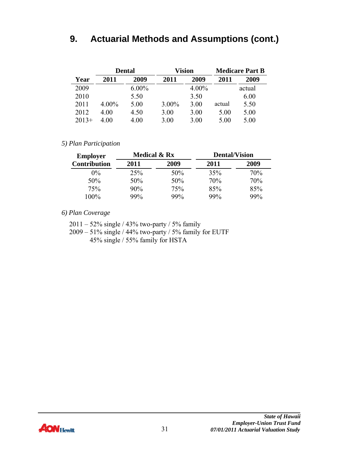|         | <b>Dental</b> |          |          | <b>Vision</b> | <b>Medicare Part B</b> |        |  |
|---------|---------------|----------|----------|---------------|------------------------|--------|--|
| Year    | 2011          | 2009     | 2011     | 2009          | 2011                   | 2009   |  |
| 2009    |               | $6.00\%$ |          | $4.00\%$      |                        | actual |  |
| 2010    |               | 5.50     |          | 3.50          |                        | 6.00   |  |
| 2011    | $4.00\%$      | 5.00     | $3.00\%$ | 3.00          | actual                 | 5.50   |  |
| 2012    | 4 00          | 4.50     | 3.00     | 3.00          | 5.00                   | 5.00   |  |
| $2013+$ | 4.00          | 4 00     | 3.00     | 3.00          | 5.00                   | 5.00   |  |

#### *5) Plan Participation*

| <b>Employer</b>     | <b>Medical &amp; Rx</b> |      | <b>Dental/Vision</b> |      |  |  |
|---------------------|-------------------------|------|----------------------|------|--|--|
| <b>Contribution</b> | 2011                    | 2009 | 2011                 | 2009 |  |  |
| $0\%$               | 25%                     | 50%  | 35%                  | 70%  |  |  |
| 50%                 | 50%                     | 50%  | 70%                  | 70%  |  |  |
| 75%                 | 90%                     | 75%  | 85%                  | 85%  |  |  |
| 100%                | 99%                     | 99%  | 99%                  | 99%  |  |  |

*6) Plan Coverage* 

- 2011 52% single / 43% two-party / 5% family
- 2009 51% single / 44% two-party / 5% family for EUTF 45% single / 55% family for HSTA

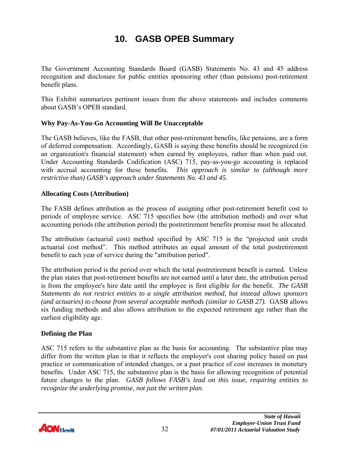# **10. GASB OPEB Summary**

<span id="page-34-0"></span>The Government Accounting Standards Board (GASB) Statements No. 43 and 45 address recognition and disclosure for public entities sponsoring other (than pensions) post-retirement benefit plans.

This Exhibit summarizes pertinent issues from the above statements and includes comments about GASB's OPEB standard.

#### **Why Pay-As-You-Go Accounting Will Be Unacceptable**

The GASB believes, like the FASB, that other post-retirement benefits, like pensions, are a form of deferred compensation. Accordingly, GASB is saying these benefits should be recognized (in an organization's financial statement) when earned by employees, rather than when paid out. Under Accounting Standards Codification (ASC) 715, pay-as-you-go accounting is replaced with accrual accounting for these benefits. *This approach is similar to (although more restrictive than) GASB's approach under Statements No. 43 and 45*.

#### **Allocating Costs (Attribution)**

The FASB defines attribution as the process of assigning other post-retirement benefit cost to periods of employee service. ASC 715 specifies how (the attribution method) and over what accounting periods (the attribution period) the postretirement benefits promise must be allocated.

The attribution (actuarial cost) method specified by ASC 715 is the "projected unit credit actuarial cost method". This method attributes an equal amount of the total postretirement benefit to each year of service during the "attribution period".

The attribution period is the period over which the total postretirement benefit is earned. Unless the plan states that post-retirement benefits are not earned until a later date, the attribution period is from the employee's hire date until the employee is first eligible for the benefit. *The GASB Statements do not restrict entities to a single attribution method, but instead allows sponsors (and actuaries) to choose from several acceptable methods (similar to GASB 27).* GASB allows six funding methods and also allows attribution to the expected retirement age rather than the earliest eligibility age.

#### **Defining the Plan**

ASC 715 refers to the substantive plan as the basis for accounting. The substantive plan may differ from the written plan in that it reflects the employer's cost sharing policy based on past practice or communication of intended changes, or a past practice of cost increases in monetary benefits. Under ASC 715, the substantive plan is the basis for allowing recognition of potential future changes to the plan. *GASB follows FASB's lead on this issue, requiring entities to recognize the underlying promise, not just the written plan.* 

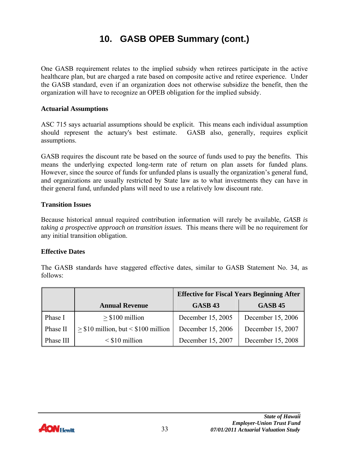# **10. GASB OPEB Summary (cont.)**

One GASB requirement relates to the implied subsidy when retirees participate in the active healthcare plan, but are charged a rate based on composite active and retiree experience. Under the GASB standard, even if an organization does not otherwise subsidize the benefit, then the organization will have to recognize an OPEB obligation for the implied subsidy.

#### **Actuarial Assumptions**

ASC 715 says actuarial assumptions should be explicit. This means each individual assumption should represent the actuary's best estimate. GASB also, generally, requires explicit assumptions.

GASB requires the discount rate be based on the source of funds used to pay the benefits. This means the underlying expected long-term rate of return on plan assets for funded plans. However, since the source of funds for unfunded plans is usually the organization's general fund, and organizations are usually restricted by State law as to what investments they can have in their general fund, unfunded plans will need to use a relatively low discount rate.

#### **Transition Issues**

Because historical annual required contribution information will rarely be available, *GASB is taking a prospective approach on transition issues.* This means there will be no requirement for any initial transition obligation.

#### **Effective Dates**

The GASB standards have staggered effective dates, similar to GASB Statement No. 34, as follows:

|           |                                       | <b>Effective for Fiscal Years Beginning After</b> |                   |  |  |  |  |
|-----------|---------------------------------------|---------------------------------------------------|-------------------|--|--|--|--|
|           | <b>Annual Revenue</b>                 | <b>GASB 43</b>                                    | <b>GASB 45</b>    |  |  |  |  |
| Phase I   | $>$ \$100 million                     | December 15, 2005                                 | December 15, 2006 |  |  |  |  |
| Phase II  | $> $10$ million, but $< $100$ million | December 15, 2006                                 | December 15, 2007 |  |  |  |  |
| Phase III | $\leq$ \$10 million                   | December 15, 2007                                 | December 15, 2008 |  |  |  |  |

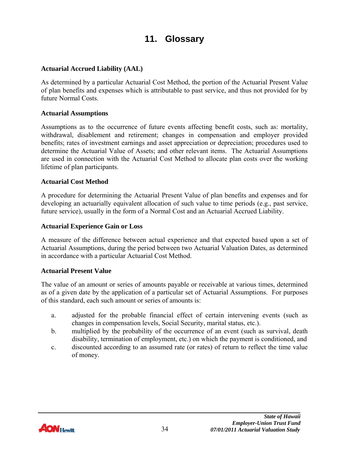### **11. Glossary**

#### <span id="page-36-0"></span>**Actuarial Accrued Liability (AAL)**

As determined by a particular Actuarial Cost Method, the portion of the Actuarial Present Value of plan benefits and expenses which is attributable to past service, and thus not provided for by future Normal Costs.

#### **Actuarial Assumptions**

Assumptions as to the occurrence of future events affecting benefit costs, such as: mortality, withdrawal, disablement and retirement; changes in compensation and employer provided benefits; rates of investment earnings and asset appreciation or depreciation; procedures used to determine the Actuarial Value of Assets; and other relevant items. The Actuarial Assumptions are used in connection with the Actuarial Cost Method to allocate plan costs over the working lifetime of plan participants.

#### **Actuarial Cost Method**

A procedure for determining the Actuarial Present Value of plan benefits and expenses and for developing an actuarially equivalent allocation of such value to time periods (e.g., past service, future service), usually in the form of a Normal Cost and an Actuarial Accrued Liability.

#### **Actuarial Experience Gain or Loss**

A measure of the difference between actual experience and that expected based upon a set of Actuarial Assumptions, during the period between two Actuarial Valuation Dates, as determined in accordance with a particular Actuarial Cost Method.

#### **Actuarial Present Value**

The value of an amount or series of amounts payable or receivable at various times, determined as of a given date by the application of a particular set of Actuarial Assumptions. For purposes of this standard, each such amount or series of amounts is:

- a. adjusted for the probable financial effect of certain intervening events (such as changes in compensation levels, Social Security, marital status, etc.).
- b. multiplied by the probability of the occurrence of an event (such as survival, death disability, termination of employment, etc.) on which the payment is conditioned, and
- c. discounted according to an assumed rate (or rates) of return to reflect the time value of money.

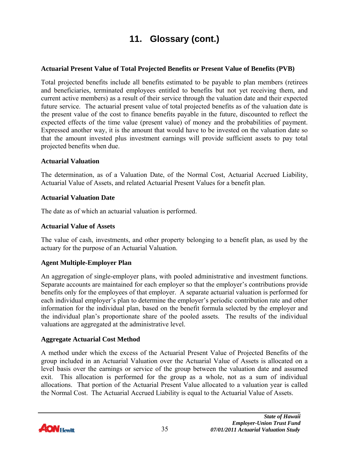#### **Actuarial Present Value of Total Projected Benefits or Present Value of Benefits (PVB)**

Total projected benefits include all benefits estimated to be payable to plan members (retirees and beneficiaries, terminated employees entitled to benefits but not yet receiving them, and current active members) as a result of their service through the valuation date and their expected future service. The actuarial present value of total projected benefits as of the valuation date is the present value of the cost to finance benefits payable in the future, discounted to reflect the expected effects of the time value (present value) of money and the probabilities of payment. Expressed another way, it is the amount that would have to be invested on the valuation date so that the amount invested plus investment earnings will provide sufficient assets to pay total projected benefits when due.

#### **Actuarial Valuation**

The determination, as of a Valuation Date, of the Normal Cost, Actuarial Accrued Liability, Actuarial Value of Assets, and related Actuarial Present Values for a benefit plan.

#### **Actuarial Valuation Date**

The date as of which an actuarial valuation is performed.

#### **Actuarial Value of Assets**

The value of cash, investments, and other property belonging to a benefit plan, as used by the actuary for the purpose of an Actuarial Valuation.

#### **Agent Multiple-Employer Plan**

An aggregation of single-employer plans, with pooled administrative and investment functions. Separate accounts are maintained for each employer so that the employer's contributions provide benefits only for the employees of that employer. A separate actuarial valuation is performed for each individual employer's plan to determine the employer's periodic contribution rate and other information for the individual plan, based on the benefit formula selected by the employer and the individual plan's proportionate share of the pooled assets. The results of the individual valuations are aggregated at the administrative level.

#### **Aggregate Actuarial Cost Method**

A method under which the excess of the Actuarial Present Value of Projected Benefits of the group included in an Actuarial Valuation over the Actuarial Value of Assets is allocated on a level basis over the earnings or service of the group between the valuation date and assumed exit. This allocation is performed for the group as a whole, not as a sum of individual allocations. That portion of the Actuarial Present Value allocated to a valuation year is called the Normal Cost. The Actuarial Accrued Liability is equal to the Actuarial Value of Assets.

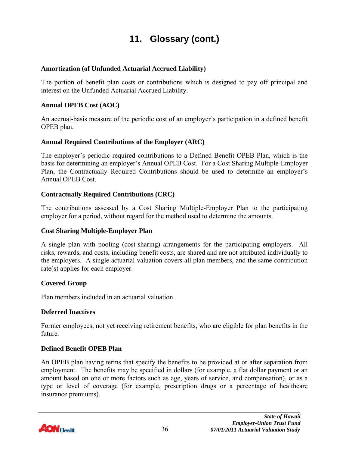#### **Amortization (of Unfunded Actuarial Accrued Liability)**

The portion of benefit plan costs or contributions which is designed to pay off principal and interest on the Unfunded Actuarial Accrued Liability.

#### **Annual OPEB Cost (AOC)**

An accrual-basis measure of the periodic cost of an employer's participation in a defined benefit OPEB plan.

#### **Annual Required Contributions of the Employer (ARC)**

The employer's periodic required contributions to a Defined Benefit OPEB Plan, which is the basis for determining an employer's Annual OPEB Cost. For a Cost Sharing Multiple-Employer Plan, the Contractually Required Contributions should be used to determine an employer's Annual OPEB Cost.

#### **Contractually Required Contributions (CRC)**

The contributions assessed by a Cost Sharing Multiple-Employer Plan to the participating employer for a period, without regard for the method used to determine the amounts.

#### **Cost Sharing Multiple-Employer Plan**

A single plan with pooling (cost-sharing) arrangements for the participating employers. All risks, rewards, and costs, including benefit costs, are shared and are not attributed individually to the employers. A single actuarial valuation covers all plan members, and the same contribution rate(s) applies for each employer.

#### **Covered Group**

Plan members included in an actuarial valuation.

#### **Deferred Inactives**

Former employees, not yet receiving retirement benefits, who are eligible for plan benefits in the future.

#### **Defined Benefit OPEB Plan**

An OPEB plan having terms that specify the benefits to be provided at or after separation from employment. The benefits may be specified in dollars (for example, a flat dollar payment or an amount based on one or more factors such as age, years of service, and compensation), or as a type or level of coverage (for example, prescription drugs or a percentage of healthcare insurance premiums).

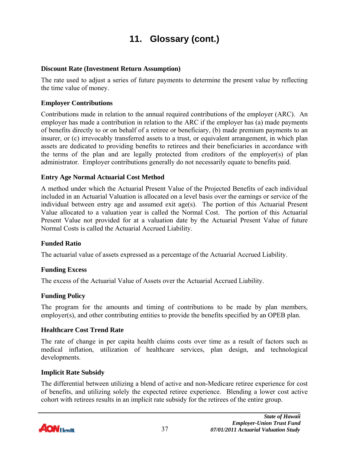#### **Discount Rate (Investment Return Assumption)**

The rate used to adjust a series of future payments to determine the present value by reflecting the time value of money.

#### **Employer Contributions**

Contributions made in relation to the annual required contributions of the employer (ARC). An employer has made a contribution in relation to the ARC if the employer has (a) made payments of benefits directly to or on behalf of a retiree or beneficiary, (b) made premium payments to an insurer, or (c) irrevocably transferred assets to a trust, or equivalent arrangement, in which plan assets are dedicated to providing benefits to retirees and their beneficiaries in accordance with the terms of the plan and are legally protected from creditors of the employer(s) of plan administrator. Employer contributions generally do not necessarily equate to benefits paid.

#### **Entry Age Normal Actuarial Cost Method**

A method under which the Actuarial Present Value of the Projected Benefits of each individual included in an Actuarial Valuation is allocated on a level basis over the earnings or service of the individual between entry age and assumed exit age(s). The portion of this Actuarial Present Value allocated to a valuation year is called the Normal Cost. The portion of this Actuarial Present Value not provided for at a valuation date by the Actuarial Present Value of future Normal Costs is called the Actuarial Accrued Liability.

#### **Funded Ratio**

The actuarial value of assets expressed as a percentage of the Actuarial Accrued Liability.

#### **Funding Excess**

The excess of the Actuarial Value of Assets over the Actuarial Accrued Liability.

#### **Funding Policy**

The program for the amounts and timing of contributions to be made by plan members, employer(s), and other contributing entities to provide the benefits specified by an OPEB plan.

#### **Healthcare Cost Trend Rate**

The rate of change in per capita health claims costs over time as a result of factors such as medical inflation, utilization of healthcare services, plan design, and technological developments.

#### **Implicit Rate Subsidy**

The differential between utilizing a blend of active and non-Medicare retiree experience for cost of benefits, and utilizing solely the expected retiree experience. Blending a lower cost active cohort with retirees results in an implicit rate subsidy for the retirees of the entire group.

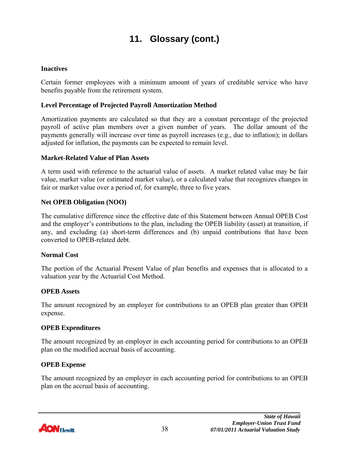#### **Inactives**

Certain former employees with a minimum amount of years of creditable service who have benefits payable from the retirement system.

#### **Level Percentage of Projected Payroll Amortization Method**

Amortization payments are calculated so that they are a constant percentage of the projected payroll of active plan members over a given number of years. The dollar amount of the payments generally will increase over time as payroll increases (e.g., due to inflation); in dollars adjusted for inflation, the payments can be expected to remain level.

#### **Market-Related Value of Plan Assets**

A term used with reference to the actuarial value of assets. A market related value may be fair value, market value (or estimated market value), or a calculated value that recognizes changes in fair or market value over a period of, for example, three to five years.

#### **Net OPEB Obligation (NOO)**

The cumulative difference since the effective date of this Statement between Annual OPEB Cost and the employer's contributions to the plan, including the OPEB liability (asset) at transition, if any, and excluding (a) short-term differences and (b) unpaid contributions that have been converted to OPEB-related debt.

#### **Normal Cost**

The portion of the Actuarial Present Value of plan benefits and expenses that is allocated to a valuation year by the Actuarial Cost Method.

#### **OPEB Assets**

The amount recognized by an employer for contributions to an OPEB plan greater than OPEB expense.

#### **OPEB Expenditures**

The amount recognized by an employer in each accounting period for contributions to an OPEB plan on the modified accrual basis of accounting.

#### **OPEB Expense**

The amount recognized by an employer in each accounting period for contributions to an OPEB plan on the accrual basis of accounting.

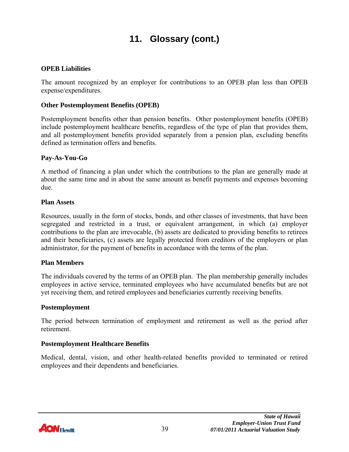#### **OPEB Liabilities**

The amount recognized by an employer for contributions to an OPEB plan less than OPEB expense/expenditures.

#### **Other Postemployment Benefits (OPEB)**

Postemployment benefits other than pension benefits. Other postemployment benefits (OPEB) include postemployment healthcare benefits, regardless of the type of plan that provides them, and all postemployment benefits provided separately from a pension plan, excluding benefits defined as termination offers and benefits.

#### **Pay-As-You-Go**

A method of financing a plan under which the contributions to the plan are generally made at about the same time and in about the same amount as benefit payments and expenses becoming due.

#### **Plan Assets**

Resources, usually in the form of stocks, bonds, and other classes of investments, that have been segregated and restricted in a trust, or equivalent arrangement, in which (a) employer contributions to the plan are irrevocable, (b) assets are dedicated to providing benefits to retirees and their beneficiaries, (c) assets are legally protected from creditors of the employers or plan administrator, for the payment of benefits in accordance with the terms of the plan.

#### **Plan Members**

The individuals covered by the terms of an OPEB plan. The plan membership generally includes employees in active service, terminated employees who have accumulated benefits but are not yet receiving them, and retired employees and beneficiaries currently receiving benefits.

#### **Postemployment**

The period between termination of employment and retirement as well as the period after retirement.

#### **Postemployment Healthcare Benefits**

Medical, dental, vision, and other health-related benefits provided to terminated or retired employees and their dependents and beneficiaries.

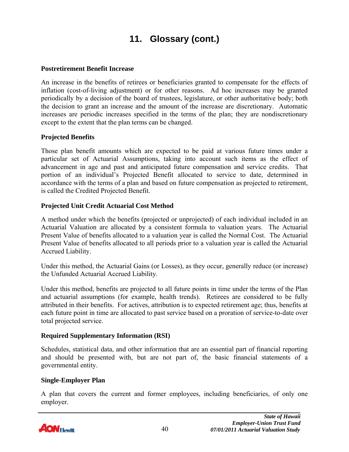#### **Postretirement Benefit Increase**

An increase in the benefits of retirees or beneficiaries granted to compensate for the effects of inflation (cost-of-living adjustment) or for other reasons. Ad hoc increases may be granted periodically by a decision of the board of trustees, legislature, or other authoritative body; both the decision to grant an increase and the amount of the increase are discretionary. Automatic increases are periodic increases specified in the terms of the plan; they are nondiscretionary except to the extent that the plan terms can be changed.

#### **Projected Benefits**

Those plan benefit amounts which are expected to be paid at various future times under a particular set of Actuarial Assumptions, taking into account such items as the effect of advancement in age and past and anticipated future compensation and service credits. That portion of an individual's Projected Benefit allocated to service to date, determined in accordance with the terms of a plan and based on future compensation as projected to retirement, is called the Credited Projected Benefit.

#### **Projected Unit Credit Actuarial Cost Method**

A method under which the benefits (projected or unprojected) of each individual included in an Actuarial Valuation are allocated by a consistent formula to valuation years. The Actuarial Present Value of benefits allocated to a valuation year is called the Normal Cost. The Actuarial Present Value of benefits allocated to all periods prior to a valuation year is called the Actuarial Accrued Liability.

Under this method, the Actuarial Gains (or Losses), as they occur, generally reduce (or increase) the Unfunded Actuarial Accrued Liability.

Under this method, benefits are projected to all future points in time under the terms of the Plan and actuarial assumptions (for example, health trends). Retirees are considered to be fully attributed in their benefits. For actives, attribution is to expected retirement age; thus, benefits at each future point in time are allocated to past service based on a proration of service-to-date over total projected service.

#### **Required Supplementary Information (RSI)**

Schedules, statistical data, and other information that are an essential part of financial reporting and should be presented with, but are not part of, the basic financial statements of a governmental entity.

#### **Single-Employer Plan**

A plan that covers the current and former employees, including beneficiaries, of only one employer.

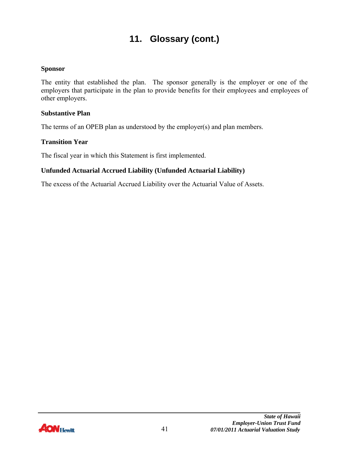#### **Sponsor**

The entity that established the plan. The sponsor generally is the employer or one of the employers that participate in the plan to provide benefits for their employees and employees of other employers.

#### **Substantive Plan**

The terms of an OPEB plan as understood by the employer(s) and plan members.

#### **Transition Year**

The fiscal year in which this Statement is first implemented.

#### **Unfunded Actuarial Accrued Liability (Unfunded Actuarial Liability)**

The excess of the Actuarial Accrued Liability over the Actuarial Value of Assets.

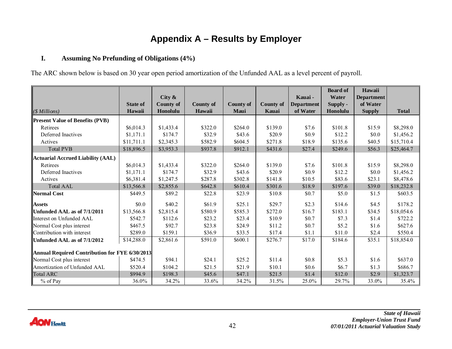### **Appendix A – Results by Employer**

#### **I.Assuming No Prefunding of Obligations (4%)**

The ARC shown below is based on 30 year open period amortization of the Unfunded AAL as a level percent of payroll.

|                                                | <b>State of</b> | City $\&$<br><b>County of</b> | <b>County of</b> | <b>County of</b> | <b>County of</b> | Kauai-<br><b>Department</b> | <b>Board of</b><br>Water<br>Supply - | Hawaii<br><b>Department</b><br>of Water |              |
|------------------------------------------------|-----------------|-------------------------------|------------------|------------------|------------------|-----------------------------|--------------------------------------|-----------------------------------------|--------------|
| $($Millions)$                                  | Hawaii          | Honolulu                      | Hawaii           | Maui             | Kauai            | of Water                    | Honolulu                             | <b>Supply</b>                           | <b>Total</b> |
| <b>Present Value of Benefits (PVB)</b>         |                 |                               |                  |                  |                  |                             |                                      |                                         |              |
| Retirees                                       | \$6,014.3       | \$1,433.4                     | \$322.0          | \$264.0          | \$139.0          | \$7.6                       | \$101.8                              | \$15.9                                  | \$8,298.0    |
| Deferred Inactives                             | \$1,171.1       | \$174.7                       | \$32.9           | \$43.6           | \$20.9           | \$0.9                       | \$12.2                               | \$0.0                                   | \$1,456.2    |
| Actives                                        | \$11,711.1      | \$2,345.3                     | \$582.9          | \$604.5          | \$271.8          | \$18.9                      | \$135.6                              | \$40.5                                  | \$15,710.4   |
| <b>Total PVB</b>                               | \$18,896.5      | \$3,953.3                     | \$937.8          | \$912.1          | \$431.6          | \$27.4                      | \$249.6                              | \$56.3                                  | \$25,464.7   |
| <b>Actuarial Accrued Liability (AAL)</b>       |                 |                               |                  |                  |                  |                             |                                      |                                         |              |
| Retirees                                       | \$6,014.3       | \$1,433.4                     | \$322.0          | \$264.0          | \$139.0          | \$7.6                       | \$101.8                              | \$15.9                                  | \$8,298.0    |
| Deferred Inactives                             | \$1,171.1       | \$174.7                       | \$32.9           | \$43.6           | \$20.9           | \$0.9                       | \$12.2                               | \$0.0                                   | \$1,456.2    |
| Actives                                        | \$6,381.4       | \$1,247.5                     | \$287.8          | \$302.8          | \$141.8          | \$10.5                      | \$83.6                               | \$23.1                                  | \$8,478.6    |
| <b>Total AAL</b>                               | \$13,566.8      | \$2,855.6                     | \$642.8          | \$610.4          | \$301.6          | \$18.9                      | \$197.6                              | \$39.0                                  | \$18,232.8   |
| Normal Cost                                    | \$449.5         | \$89.2                        | \$22.8           | \$23.9           | \$10.8           | \$0.7                       | \$5.0                                | \$1.5                                   | \$603.5      |
| <b>Assets</b>                                  | \$0.0           | \$40.2                        | \$61.9           | \$25.1           | \$29.7           | \$2.3                       | \$14.6                               | \$4.5                                   | \$178.2      |
| Unfunded AAL as of 7/1/2011                    | \$13,566.8      | \$2,815.4                     | \$580.9          | \$585.3          | \$272.0          | \$16.7                      | \$183.1                              | \$34.5                                  | \$18,054.6   |
| Interest on Unfunded AAL                       | \$542.7         | \$112.6                       | \$23.2           | \$23.4           | \$10.9           | \$0.7                       | \$7.3                                | \$1.4                                   | \$722.2      |
| Normal Cost plus interest                      | \$467.5         | \$92.7                        | \$23.8           | \$24.9           | \$11.2           | \$0.7                       | \$5.2                                | \$1.6                                   | \$627.6      |
| Contribution with interest                     | \$289.0         | \$159.1                       | \$36.9           | \$33.5           | \$17.4           | \$1.1                       | \$11.0                               | \$2.4                                   | \$550.4      |
| Unfunded AAL as of 7/1/2012                    | \$14,288.0      | \$2,861.6                     | \$591.0          | \$600.1          | \$276.7          | \$17.0                      | \$184.6                              | \$35.1                                  | \$18,854.0   |
| Annual Required Contribution for FYE 6/30/2013 |                 |                               |                  |                  |                  |                             |                                      |                                         |              |
| Normal Cost plus interest                      | \$474.5         | \$94.1                        | \$24.1           | \$25.2           | \$11.4           | \$0.8                       | \$5.3                                | \$1.6                                   | \$637.0      |
| Amortization of Unfunded AAL                   | \$520.4         | \$104.2                       | \$21.5           | \$21.9           | \$10.1           | \$0.6                       | \$6.7                                | \$1.3                                   | \$686.7      |
| <b>Total ARC</b>                               | \$994.9         | \$198.3                       | \$45.6           | \$47.1           | \$21.5           | \$1.4                       | \$12.0                               | \$2.9                                   | \$1,323.7    |
| % of Pay                                       | 36.0%           | 34.2%                         | 33.6%            | 34.2%            | 31.5%            | 25.0%                       | 29.7%                                | 33.0%                                   | 35.4%        |

<span id="page-44-0"></span>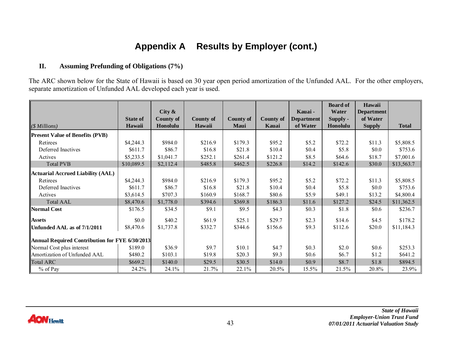# **Appendix A Results by Employer (cont.)**

#### **II.Assuming Prefunding of Obligations (7%)**

The ARC shown below for the State of Hawaii is based on 30 year open period amortization of the Unfunded AAL. For the other employers, separate amortization of Unfunded AAL developed each year is used.

|                                                |                 |           |                  |             |           |            | <b>Board of</b> | Hawaii            |              |
|------------------------------------------------|-----------------|-----------|------------------|-------------|-----------|------------|-----------------|-------------------|--------------|
|                                                |                 | City $\&$ |                  |             |           | Kauai -    | Water           | <b>Department</b> |              |
|                                                | <b>State of</b> | County of | <b>County of</b> | County of   | County of | Department | Supply -        | of Water          |              |
| ( <i>\$ Millions</i> )                         | Hawaii          | Honolulu  | Hawaii           | <b>Maui</b> | Kauai     | of Water   | Honolulu        | <b>Supply</b>     | <b>Total</b> |
| <b>Present Value of Benefits (PVB)</b>         |                 |           |                  |             |           |            |                 |                   |              |
| Retirees                                       | \$4,244.3       | \$984.0   | \$216.9          | \$179.3     | \$95.2    | \$5.2\$    | \$72.2          | \$11.3            | \$5,808.5    |
| Deferred Inactives                             | \$611.7         | \$86.7    | \$16.8           | \$21.8      | \$10.4    | \$0.4\$    | \$5.8           | \$0.0             | \$753.6      |
| Actives                                        | \$5,233.5       | \$1,041.7 | \$252.1          | \$261.4     | \$121.2   | \$8.5      | \$64.6          | \$18.7            | \$7,001.6    |
| <b>Total PVB</b>                               | \$10,089.5      | \$2,112.4 | \$485.8          | \$462.5     | \$226.8   | \$14.2     | \$142.6         | \$30.0            | \$13,563.7   |
| <b>Actuarial Accrued Liability (AAL)</b>       |                 |           |                  |             |           |            |                 |                   |              |
| Retirees                                       | \$4,244.3       | \$984.0   | \$216.9          | \$179.3     | \$95.2    | \$5.2\$    | \$72.2          | \$11.3            | \$5,808.5    |
| Deferred Inactives                             | \$611.7         | \$86.7    | \$16.8           | \$21.8      | \$10.4    | \$0.4      | \$5.8           | \$0.0             | \$753.6      |
| Actives                                        | \$3,614.5       | \$707.3   | \$160.9          | \$168.7     | \$80.6    | \$5.9      | \$49.1          | \$13.2            | \$4,800.4    |
| <b>Total AAL</b>                               | \$8,470.6       | \$1,778.0 | \$394.6          | \$369.8     | \$186.3   | \$11.6     | \$127.2         | \$24.5            | \$11,362.5   |
| <b>Normal Cost</b>                             | \$176.5         | \$34.5    | \$9.1            | \$9.5       | \$4.3     | \$0.3      | \$1.8           | \$0.6             | \$236.7      |
| <b>Assets</b>                                  | \$0.0           | \$40.2    | \$61.9           | \$25.1      | \$29.7    | \$2.3      | \$14.6          | \$4.5             | \$178.2      |
| Unfunded AAL as of 7/1/2011                    | \$8,470.6       | \$1,737.8 | \$332.7          | \$344.6     | \$156.6   | \$9.3      | \$112.6         | \$20.0            | \$11,184.3   |
| Annual Required Contribution for FYE 6/30/2013 |                 |           |                  |             |           |            |                 |                   |              |
| Normal Cost plus interest                      | \$189.0         | \$36.9    | \$9.7            | \$10.1      | \$4.7     | \$0.3      | \$2.0           | \$0.6             | \$253.3      |
| Amortization of Unfunded AAL                   | \$480.2         | \$103.1   | \$19.8           | \$20.3      | \$9.3     | \$0.6      | \$6.7           | \$1.2             | \$641.2      |
| <b>Total ARC</b>                               | \$669.2         | \$140.0   | \$29.5           | \$30.5      | \$14.0    | \$0.9      | \$8.7           | \$1.8             | \$894.5      |
| % of Pay                                       | 24.2%           | 24.1%     | 21.7%            | 22.1%       | 20.5%     | 15.5%      | 21.5%           | 20.8%             | 23.9%        |

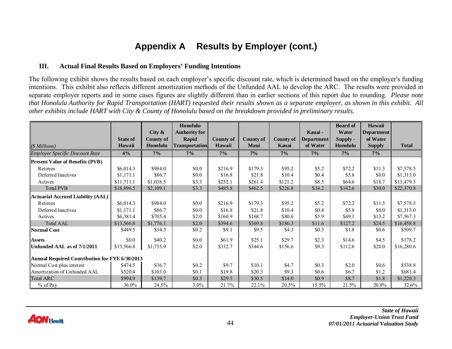# **Appendix A Results by Employer (cont.)**

#### **III. Actual Final Results Based on Employers' Funding Intentions**

The following exhibit shows the results based on each employer's specific discount rate, which is determined based on the employer's funding intentions. This exhibit also reflects different amortization methods of the Unfunded AAL to develop the ARC. The results were provided in separate employer reports and in some cases figures are slightly different than in earlier sections of this report due to rounding. *Please note that Honolulu Authority for Rapid Transportation (HART) requested their results shown as a separate employer, as shown in this exhibit. All other exhibits include HART with City & County of Honolulu based on the breakdown provided in preliminary results.*

|                                                |                 |                  | Honolulu              |                  |                  |           |                   | <b>Board of</b> | Hawaii        |              |
|------------------------------------------------|-----------------|------------------|-----------------------|------------------|------------------|-----------|-------------------|-----------------|---------------|--------------|
|                                                |                 | City $\&$        | <b>Authority for</b>  |                  |                  |           | Kauai -           | Water           | Department    |              |
|                                                | <b>State of</b> | <b>County of</b> | Rapid                 | <b>County of</b> | <b>County of</b> | County of | <b>Department</b> | Supply -        | of Water      |              |
| $($ Millions)$                                 | Hawaii          | Honolulu         | <b>Transportation</b> | Hawaii           | Maui             | Kauai     | of Water          | Honolulu        | <b>Supply</b> | <b>Total</b> |
| <b>Employer Specific Discount Rate</b>         | 4%              | $7\%$            | $7\%$                 | $7\%$            | $7\%$            | $7\%$     | 7%                | 7%              | $7\%$         |              |
| <b>Present Value of Benefits (PVB)</b>         |                 |                  |                       |                  |                  |           |                   |                 |               |              |
| Retirees                                       | \$6,014.3       | \$984.0          | \$0.0                 | \$216.9          | \$179.3          | \$95.2    | \$5.2             | \$72.2          | \$11.3        | \$7,578.5    |
| Deferred Inactives                             | \$1,171.1       | \$86.7           | \$0.0                 | \$16.8           | \$21.8           | \$10.4    | \$0.4             | \$5.8\$         | \$0.0         | \$1,313.0    |
| Actives                                        | \$11,711.1      | \$1,038.5        | \$3.3                 | \$252.1          | \$261.4          | \$121.2   | \$8.5             | \$64.6          | \$18.7        | \$13,479.3   |
| <b>Total PVB</b>                               | \$18,896.5      | \$2,109.1        | \$3.3                 | \$485.8          | \$462.5          | \$226.8   | \$14.2            | \$142.6         | \$30.0        | \$22,370.8   |
| Actuarial Accrued Liability (AAL)              |                 |                  |                       |                  |                  |           |                   |                 |               |              |
| Retirees                                       | \$6,014.3       | \$984.0          | \$0.0                 | \$216.9          | \$179.3          | \$95.2    | \$5.2             | \$72.2          | \$11.3        | \$7,578.5    |
| Deferred Inactives                             | \$1,171.1       | \$86.7           | \$0.0                 | \$16.8           | \$21.8           | \$10.4    | \$0.4             | \$5.8\$         | \$0.0         | \$1,313.0    |
| Actives                                        | \$6,381.4       | \$705.4          | \$2.0                 | \$160.9          | \$168.7          | \$80.6    | \$5.9             | \$49.1          | \$13.2        | \$7,567.3    |
| Total AAL                                      | \$13,566.8      | \$1,776.1        | \$2.0                 | \$394.6          | \$369.8          | \$186.3   | \$11.6            | \$127.2         | \$24.5        | \$16,458.8   |
| Normal Cost                                    | \$449.5         | \$34.3           | \$0.2\$               | \$9.1            | \$9.5            | \$4.3     | \$0.3             | \$1.8           | \$0.6         | \$509.7      |
| <b>Assets</b>                                  | \$0.0           | \$40.2           | \$0.0                 | \$61.9           | \$25.1           | \$29.7    | \$2.3             | \$14.6          | \$4.5         | \$178.2      |
| Unfunded AAL as of 7/1/2011                    | \$13,566.8      | \$1,735.9        | \$2.0                 | \$332.7          | \$344.6          | \$156.6   | \$9.3             | \$112.6         | \$20.0        | \$16,280.6   |
| Annual Required Contribution for FYE 6/30/2013 |                 |                  |                       |                  |                  |           |                   |                 |               |              |
| Normal Cost plus interest                      | \$474.5         | \$36.7           | \$0.2                 | \$9.7            | \$10.1           | \$4.7     | \$0.3             | \$2.0           | \$0.6         | \$538.8      |
| Amortization of Unfunded AAL                   | \$520.4         | \$103.0          | \$0.1                 | \$19.8           | \$20.3           | \$9.3     | \$0.6             | \$6.7           | \$1.2         | \$681.4      |
| <b>Total ARC</b>                               | \$994.9         | \$139.7          | \$0.3\$               | \$29.5           | \$30.5           | \$14.0    | \$0.9             | \$8.7           | \$1.8         | \$1,220.3    |
| % of Pay                                       | $36.0\%$        | 24.5%            | $3.0\%$               | 21.7%            | 22.1%            | 20.5%     | 15.5%             | 21.5%           | 20.8%         | 32.6%        |

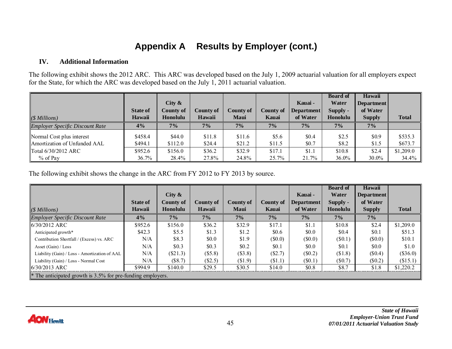# **Appendix A Results by Employer (cont.)**

#### **IV. Additional Information**

The following exhibit shows the 2012 ARC. This ARC was developed based on the July 1, 2009 actuarial valuation for all employers expect for the State, for which the ARC was developed based on the July 1, 2011 actuarial valuation.

| $(S\,Millions)$                        | <b>State of</b><br>Hawaii | City $\&$<br><b>County of</b><br>Honolulu | <b>County of</b><br>Hawaii | County of<br>Maui | County of<br>Kauai | Kauai -<br>Department<br>of Water | <b>Board of</b><br>Water<br>Supply -<br>Honolulu | Hawaii<br><b>Department</b><br>of Water<br><b>Supply</b> | <b>Total</b> |
|----------------------------------------|---------------------------|-------------------------------------------|----------------------------|-------------------|--------------------|-----------------------------------|--------------------------------------------------|----------------------------------------------------------|--------------|
| <b>Employer Specific Discount Rate</b> | 4%                        | 7%                                        | 7%                         | 7%                | $7\%$              | 7%                                | 7%                                               | $7\%$                                                    |              |
| Normal Cost plus interest              | \$458.4                   | \$44.0                                    | \$11.8                     | \$11.6            | \$5.6              | \$0.4\$                           | \$2.5                                            | \$0.9                                                    | \$535.3      |
| Amortization of Unfunded AAL           | \$494.1                   | \$112.0                                   | \$24.4                     | \$21.2            | \$11.5             | \$0.7                             | \$8.2                                            | \$1.5                                                    | \$673.7      |
| Total 6/30/2012 ARC                    | \$952.6                   | \$156.0                                   | \$36.2                     | \$32.9            | \$17.1             | \$1.1                             | \$10.8                                           | \$2.4                                                    | \$1,209.0    |
| $%$ of Pay                             | 36.7%                     | 28.4%                                     | 27.8%                      | 24.8%             | 25.7%              | 21.7%                             | $36.0\%$                                         | $30.0\%$                                                 | 34.4%        |

The following exhibit shows the change in the ARC from FY 2012 to FY 2013 by source.

|                                                             |                 |                  |           |           |           |                   | <b>Board of</b> | Hawaii            |              |
|-------------------------------------------------------------|-----------------|------------------|-----------|-----------|-----------|-------------------|-----------------|-------------------|--------------|
|                                                             |                 | City $\&$        |           |           |           | Kauai -           | Water           | <b>Department</b> |              |
|                                                             | <b>State of</b> | <b>County of</b> | County of | County of | County of | <b>Department</b> | Supply -        | of Water          |              |
| $(S\,Millions)$                                             | Hawaii          | Honolulu         | Hawaii    | Maui      | Kauai     | of Water          | Honolulu        | <b>Supply</b>     | <b>Total</b> |
| <b>Employer Specific Discount Rate</b>                      | 4%              | 7%               | 7%        | 7%        | $7\%$     | $7\%$             | 7%              | $7\%$             |              |
| $6/30/2012$ ARC                                             | \$952.6         | \$156.0          | \$36.2    | \$32.9    | \$17.1    | \$1.1             | \$10.8          | \$2.4             | \$1,209.0    |
| Anticipated growth*                                         | \$42.3\$        | \$5.5            | \$1.3     | \$1.2     | \$0.6     | \$0.0\$           | \$0.4           | \$0.1             | \$51.3       |
| Contribution Shortfall / (Excess) vs. ARC                   | N/A             | \$8.3            | \$0.0     | \$1.9     | $(\$0.0)$ | $(\$0.0)$         | $(\$0.1)$       | $(\$0.0)$         | \$10.1       |
| Asset (Gain) / Loss                                         | N/A             | \$0.3\$          | \$0.3     | \$0.2     | \$0.1     | \$0.0             | \$0.1           | \$0.0             | \$1.0        |
| Liability (Gain) / Loss - Amortization of AAL               | N/A             | $(\$21.3)$       | (\$5.8)   | $(\$3.8)$ | (\$2.7)   | $(\$0.2)$         | \$1.8)          | $(\$0.4)$         | $(\$36.0)$   |
| Liability (Gain) / Loss - Normal Cost                       | N/A             | (S8.7)           | (\$2.5)   | \$1.9     | (S1.1)    | (S0.1)            | $(\$0.7)$       | $(\$0.2)$         | (\$15.1)     |
| 6/30/2013 ARC                                               | \$994.9         | \$140.0          | \$29.5    | \$30.5    | \$14.0    | \$0.8             | \$8.7           | \$1.8             | \$1,220.2    |
| * The anticipated growth is 3.5% for pre-funding employers. |                 |                  |           |           |           |                   |                 |                   |              |

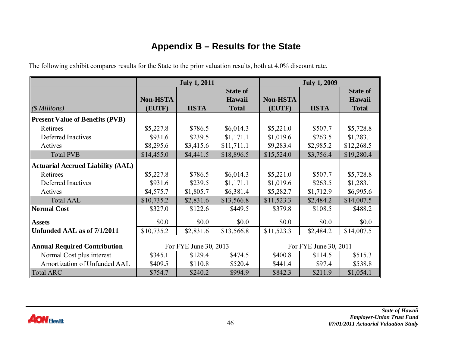# **Appendix B – Results for the State**

The following exhibit compares results for the State to the prior valuation results, both at 4.0% discount rate.

|                                          |                                                | <b>July 1, 2011</b> |                 |                 | <b>July 1, 2009</b> |                 |
|------------------------------------------|------------------------------------------------|---------------------|-----------------|-----------------|---------------------|-----------------|
|                                          |                                                |                     | <b>State of</b> |                 |                     | <b>State of</b> |
|                                          | <b>Non-HSTA</b>                                |                     | Hawaii          | <b>Non-HSTA</b> |                     | Hawaii          |
| $(S\,Millions)$                          | (EUTF)                                         | <b>HSTA</b>         | <b>Total</b>    | (EUTF)          | <b>HSTA</b>         | <b>Total</b>    |
| <b>Present Value of Benefits (PVB)</b>   |                                                |                     |                 |                 |                     |                 |
| Retirees                                 | \$5,227.8                                      | \$786.5             | \$6,014.3       | \$5,221.0       | \$507.7             | \$5,728.8       |
| Deferred Inactives                       | \$931.6                                        | \$239.5             | \$1,171.1       | \$1,019.6       | \$263.5             | \$1,283.1       |
| Actives                                  | \$8,295.6                                      | \$3,415.6           | \$11,711.1      | \$9,283.4       | \$2,985.2           | \$12,268.5      |
| <b>Total PVB</b>                         | \$14,455.0                                     | \$4,441.5           | \$18,896.5      | \$15,524.0      | \$3,756.4           | \$19,280.4      |
| <b>Actuarial Accrued Liability (AAL)</b> |                                                |                     |                 |                 |                     |                 |
| Retirees                                 | \$5,227.8                                      | \$786.5             | \$6,014.3       | \$5,221.0       | \$507.7             | \$5,728.8       |
| Deferred Inactives                       | \$931.6                                        | \$239.5             | \$1,171.1       | \$1,019.6       | \$263.5             | \$1,283.1       |
| Actives                                  | \$4,575.7                                      | \$1,805.7           | \$6,381.4       | \$5,282.7       | \$1,712.9           | \$6,995.6       |
| <b>Total AAL</b>                         | \$10,735.2                                     | \$2,831.6           | \$13,566.8      | \$11,523.3      | \$2,484.2           | \$14,007.5      |
| Normal Cost                              | \$327.0                                        | \$122.6             | \$449.5         | \$379.8         | \$108.5             | \$488.2         |
| <b>Assets</b>                            | \$0.0                                          | \$0.0               | \$0.0           | \$0.0           | \$0.0               | \$0.0           |
| Unfunded AAL as of 7/1/2011              | \$10,735.2                                     | \$2,831.6           | \$13,566.8      | \$11,523.3      | \$2,484.2           | \$14,007.5      |
| <b>Annual Required Contribution</b>      | For FYE June 30, 2013<br>For FYE June 30, 2011 |                     |                 |                 |                     |                 |
| Normal Cost plus interest                | \$345.1                                        | \$129.4             | \$474.5         | \$400.8         | \$114.5             | \$515.3         |
| Amortization of Unfunded AAL             | \$409.5                                        | \$110.8             | \$520.4         | \$441.4         | \$97.4              | \$538.8         |
| Total ARC                                | \$754.7                                        | \$240.2             | \$994.9         | \$842.3         | \$211.9             | \$1,054.1       |

<span id="page-48-0"></span>